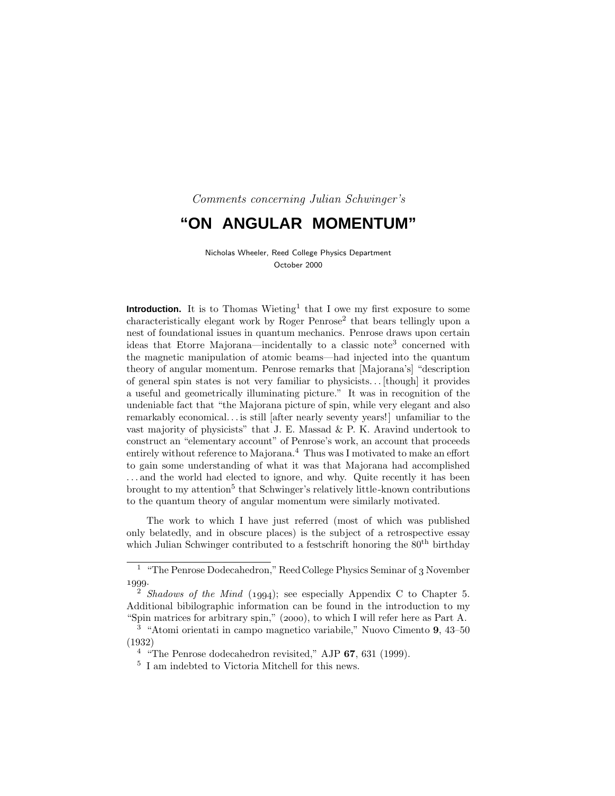Comments concerning Julian Schwinger's

# **"ON ANGULAR MOMENTUM"**

Nicholas Wheeler, Reed College Physics Department October 2000

**Introduction.** It is to Thomas Wieting<sup>1</sup> that I owe my first exposure to some  $\alpha$ characteristically elegant work by Roger Penrose<sup>2</sup> that bears tellingly upon a nest of foundational issues in quantum mechanics. Penrose draws upon certain ideas that Etorre Majorana—incidentally to a classic note<sup>3</sup> concerned with the magnetic manipulation of atomic beams—had injected into the quantum theory of angular momentum. Penrose remarks that [Majorana's] "description of general spin states is not very familiar to physicists*...* [though] it provides a useful and geometrically illuminating picture." It was in recognition of the undeniable fact that "the Majorana picture of spin, while very elegant and also remarkably economical*...* is still [after nearly seventy years!] unfamiliar to the vast majority of physicists" that J. E. Massad  $\&$  P. K. Aravind undertook to construct an "elementary account" of Penrose's work, an account that proceeds entirely without reference to Majorana.<sup>4</sup> Thus was I motivated to make an effort to gain some understanding of what it was that Majorana had accomplished *...* and the world had elected to ignore, and why. Quite recently it has been brought to my attention<sup>5</sup> that Schwinger's relatively little-known contributions to the quantum theory of angular momentum were similarly motivated.

The work to which I have just referred (most of which was published only belatedly, and in obscure places) is the subject of a retrospective essay which Julian Schwinger contributed to a festschrift honoring the  $80<sup>th</sup>$  birthday

<sup>&</sup>lt;sup>1</sup> "The Penrose Dodecahedron," Reed College Physics Seminar of  $_3$  November 1999.

<sup>&</sup>lt;sup>2</sup> Shadows of the Mind  $(1994)$ ; see especially Appendix C to Chapter 5. Additional bibilographic information can be found in the introduction to my "Spin matrices for arbitrary spin,"  $(2000)$ , to which I will refer here as Part A.

<sup>3</sup> "Atomi orientati in campo magnetico variabile," Nuovo Cimento **9**, 43–50 (1932)

<sup>4</sup> "The Penrose dodecahedron revisited," AJP **67**, 631 (1999).

<sup>5</sup> I am indebted to Victoria Mitchell for this news.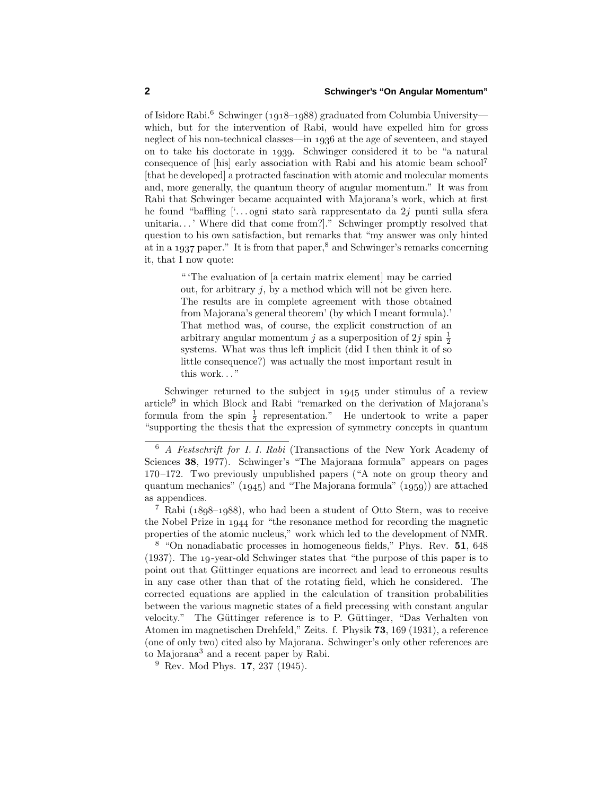of Isidore Rabi.<sup>6</sup> Schwinger (1918–1988) graduated from Columbia University which, but for the intervention of Rabi, would have expelled him for gross neglect of his non-technical classes—in 1936 at the age of seventeen, and stayed on to take his doctorate in 1939. Schwinger considered it to be "a natural" consequence of [his] early association with Rabi and his atomic beam school<sup>7</sup> [that he developed] a protracted fascination with atomic and molecular moments and, more generally, the quantum theory of angular momentum." It was from Rabi that Schwinger became acquainted with Majorana's work, which at first he found "baffling ['...ogni stato sarà rappresentato da 2*j* punti sulla sfera unitaria*...* ' Where did that come from?]." Schwinger promptly resolved that question to his own satisfaction, but remarks that "my answer was only hinted at in a 1937 paper." It is from that paper, $8$  and Schwinger's remarks concerning it, that I now quote:

> " 'The evaluation of [a certain matrix element] may be carried out, for arbitrary *j*, by a method which will not be given here. The results are in complete agreement with those obtained from Majorana's general theorem' (by which I meant formula).' That method was, of course, the explicit construction of an arbitrary angular momentum *j* as a superposition of 2*j* spin  $\frac{1}{2}$ systems. What was thus left implicit (did I then think it of so little consequence?) was actually the most important result in this work..."

Schwinger returned to the subject in 1945 under stimulus of a review article<sup>9</sup> in which Block and Rabi "remarked on the derivation of Majorana's formula from the spin  $\frac{1}{2}$  representation." He undertook to write a paper "supporting the thesis that the expression of symmetry concepts in quantum

<sup>6</sup> A Festschrift for I. I. Rabi (Transactions of the New York Academy of Sciences **38**, 1977). Schwinger's "The Majorana formula" appears on pages 170–172. Two previously unpublished papers ("A note on group theory and quantum mechanics"  $(1945)$  and "The Majorana formula"  $(1959)$ ) are attached as appendices.

<sup>&</sup>lt;sup>7</sup> Rabi ( $1898-1988$ ), who had been a student of Otto Stern, was to receive the Nobel Prize in 1944 for "the resonance method for recording the magnetic properties of the atomic nucleus," work which led to the development of NMR.

<sup>8</sup> "On nonadiabatic processes in homogeneous fields," Phys. Rev. **51**, 648 (1937). The 19-year-old Schwinger states that "the purpose of this paper is to point out that Güttinger equations are incorrect and lead to erroneous results in any case other than that of the rotating field, which he considered. The corrected equations are applied in the calculation of transition probabilities between the various magnetic states of a field precessing with constant angular velocity." The Güttinger reference is to P. Güttinger, "Das Verhalten von Atomen im magnetischen Drehfeld," Zeits. f. Physik **73**, 169 (1931), a reference (one of only two) cited also by Majorana. Schwinger's only other references are to Majorana<sup>3</sup> and a recent paper by Rabi.

<sup>9</sup> Rev. Mod Phys. **17**, 237 (1945).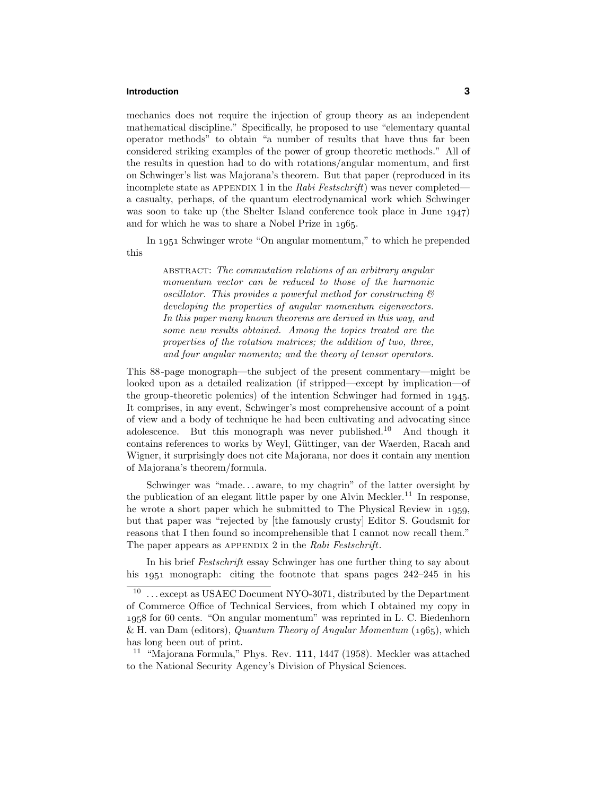## **Introduction 3**

mechanics does not require the injection of group theory as an independent mathematical discipline." Specifically, he proposed to use "elementary quantal operator methods" to obtain "a number of results that have thus far been considered striking examples of the power of group theoretic methods." All of the results in question had to do with rotations/angular momentum, and first on Schwinger's list was Majorana's theorem. But that paper (reproduced in its incomplete state as APPENDIX 1 in the Rabi Festschrift) was never completed a casualty, perhaps, of the quantum electrodynamical work which Schwinger was soon to take up (the Shelter Island conference took place in June  $1947$ ) and for which he was to share a Nobel Prize in 1965.

In 1951 Schwinger wrote "On angular momentum," to which he prepended this

> ABSTRACT: The commutation relations of an arbitrary angular momentum vector can be reduced to those of the harmonic oscillator. This provides a powerful method for constructing & developing the properties of angular momentum eigenvectors. In this paper many known theorems are derived in this way, and some new results obtained. Among the topics treated are the properties of the rotation matrices; the addition of two, three, and four angular momenta; and the theory of tensor operators.

This 88-page monograph—the subject of the present commentary—might be looked upon as a detailed realization (if stripped—except by implication—of the group-theoretic polemics) of the intention Schwinger had formed in 1945. It comprises, in any event, Schwinger's most comprehensive account of a point of view and a body of technique he had been cultivating and advocating since adolescence. But this monograph was never published.<sup>10</sup> And though it contains references to works by Weyl, Güttinger, van der Waerden, Racah and Wigner, it surprisingly does not cite Majorana, nor does it contain any mention of Majorana's theorem/formula.

Schwinger was "made*...* aware, to my chagrin" of the latter oversight by the publication of an elegant little paper by one Alvin Meckler.<sup>11</sup> In response, he wrote a short paper which he submitted to The Physical Review in 1959, but that paper was "rejected by [the famously crusty] Editor S. Goudsmit for reasons that I then found so incomprehensible that I cannot now recall them." The paper appears as APPENDIX 2 in the Rabi Festschrift.

In his brief Festschrift essay Schwinger has one further thing to say about his  $1951$  monograph: citing the footnote that spans pages  $242-245$  in his

<sup>&</sup>lt;sup>10</sup> ... except as USAEC Document NYO-3071, distributed by the Department of Commerce Office of Technical Services, from which I obtained my copy in for 60 cents. "On angular momentum" was reprinted in L. C. Biedenhorn & H. van Dam (editors), Quantum Theory of Angular Momentum  $(1965)$ , which has long been out of print.

<sup>11</sup> "Majorana Formula," Phys. Rev. **111**, 1447 (1958). Meckler was attached to the National Security Agency's Division of Physical Sciences.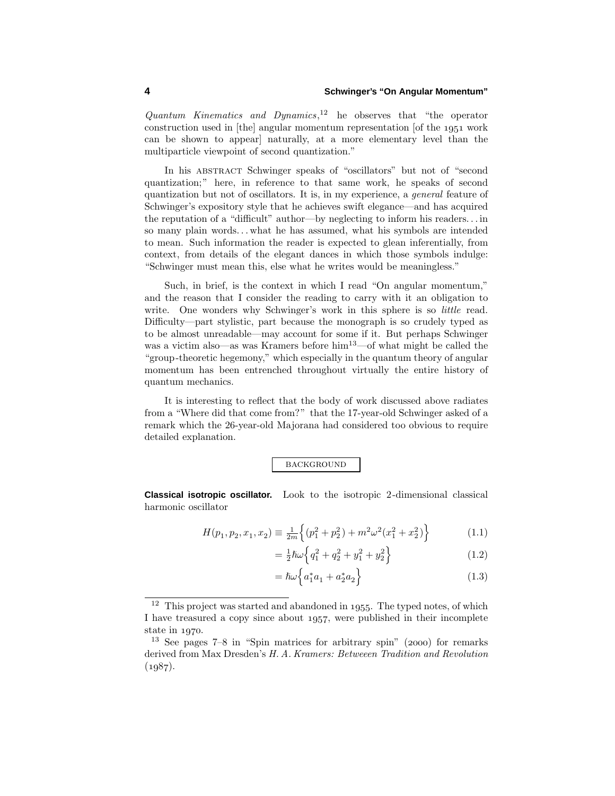Quantum Kinematics and Dynamics, <sup>12</sup> he observes that "the operator construction used in [the] angular momentum representation  $\delta$  [of the 1951 work] can be shown to appear] naturally, at a more elementary level than the multiparticle viewpoint of second quantization."

In his ABSTRACT Schwinger speaks of "oscillators" but not of "second quantization;" here, in reference to that same work, he speaks of second quantization but not of oscillators. It is, in my experience, a general feature of Schwinger's expository style that he achieves swift elegance—and has acquired the reputation of a "difficult" author—by neglecting to inform his readers*...* in so many plain words*...* what he has assumed, what his symbols are intended to mean. Such information the reader is expected to glean inferentially, from context, from details of the elegant dances in which those symbols indulge: "Schwinger must mean this, else what he writes would be meaningless."

Such, in brief, is the context in which I read "On angular momentum," and the reason that I consider the reading to carry with it an obligation to write. One wonders why Schwinger's work in this sphere is so *little* read. Difficulty—part stylistic, part because the monograph is so crudely typed as to be almost unreadable—may account for some if it. But perhaps Schwinger was a victim also—as was Kramers before  $\lim^{13}$ —of what might be called the "group-theoretic hegemony," which especially in the quantum theory of angular momentum has been entrenched throughout virtually the entire history of quantum mechanics.

It is interesting to reflect that the body of work discussed above radiates from a "Where did that come from?" that the 17-year-old Schwinger asked of a remark which the 26-year-old Majorana had considered too obvious to require detailed explanation.

# **BACKGROUND**

**Classical isotropic oscillator.** Look to the isotropic 2-dimensional classical harmonic oscillator

$$
H(p_1, p_2, x_1, x_2) \equiv \frac{1}{2m} \left\{ (p_1^2 + p_2^2) + m^2 \omega^2 (x_1^2 + x_2^2) \right\}
$$
 (1.1)

$$
= \frac{1}{2}\hbar\omega\left\{q_1^2 + q_2^2 + y_1^2 + y_2^2\right\} \tag{1.2}
$$

$$
= \hbar \omega \left\{ a_1^* a_1 + a_2^* a_2 \right\} \tag{1.3}
$$

 $12$  This project was started and abandoned in 1955. The typed notes, of which I have treasured a copy since about 1957, were published in their incomplete state in  $1970$ .

 $13$  See pages  $7-8$  in "Spin matrices for arbitrary spin" (2000) for remarks derived from Max Dresden's H. A. Kramers: Betweeen Tradition and Revolution  $(1987).$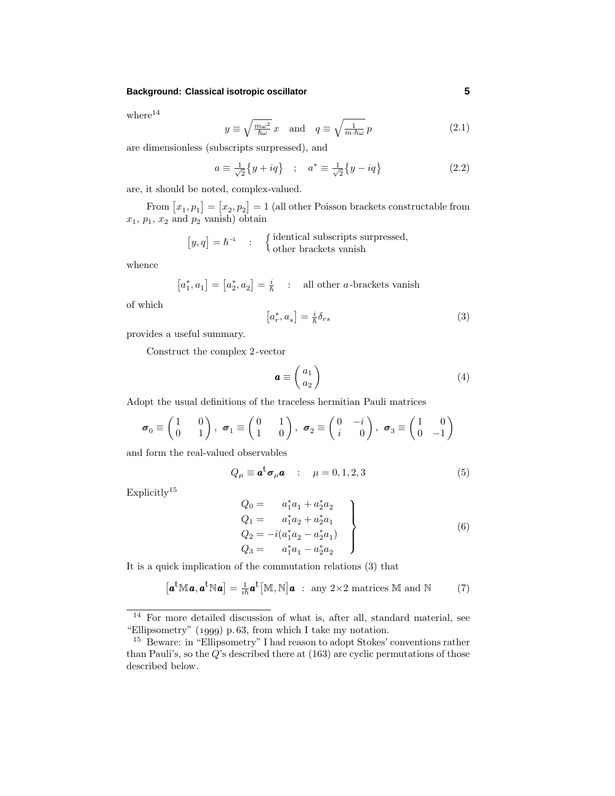### **Background: Classical isotropic oscillator 5**

 $where<sup>14</sup>$ 

$$
y \equiv \sqrt{\frac{m\omega^2}{\hbar \omega}} x \quad \text{and} \quad q \equiv \sqrt{\frac{1}{m \cdot \hbar \omega}} p \tag{2.1}
$$

are dimensionless (subscripts surpressed), and

$$
a \equiv \frac{1}{\sqrt{2}} \{ y + iq \} \quad ; \quad a^* \equiv \frac{1}{\sqrt{2}} \{ y - iq \}
$$
 (2.2)

are, it should be noted, complex-valued.

From  $[x_1, p_1] = [x_2, p_2] = 1$  (all other Poisson brackets constructable from  $x_1, p_1, x_2$  and  $p_2$  vanish) obtain

$$
[y, q] = \hbar^{-1} : \begin{cases} \text{identical subscripts surpressed,} \\ \text{other brackets vanish} \end{cases}
$$

whence

 $[a_1^*, a_1] = [a_2^*, a_2] = \frac{i}{\hbar}$  : all other *a*-brackets vanish

of which

$$
\left[a_r^*, a_s\right] = \frac{i}{\hbar} \delta_{rs} \tag{3}
$$

provides a useful summary.

Construct the complex 2-vector

$$
\boldsymbol{a} \equiv \begin{pmatrix} a_1 \\ a_2 \end{pmatrix} \tag{4}
$$

Adopt the usual definitions of the traceless hermitian Pauli matrices

$$
\boldsymbol{\sigma}_0 \equiv \begin{pmatrix} 1 & 0 \\ 0 & 1 \end{pmatrix}, \ \boldsymbol{\sigma}_1 \equiv \begin{pmatrix} 0 & 1 \\ 1 & 0 \end{pmatrix}, \ \boldsymbol{\sigma}_2 \equiv \begin{pmatrix} 0 & -i \\ i & 0 \end{pmatrix}, \ \boldsymbol{\sigma}_3 \equiv \begin{pmatrix} 1 & 0 \\ 0 & -1 \end{pmatrix}
$$

and form the real-valued observables

$$
Q_{\mu} \equiv \mathbf{a}^{\dagger} \boldsymbol{\sigma}_{\mu} \mathbf{a} \quad : \quad \mu = 0, 1, 2, 3 \tag{5}
$$

Explicitly<sup>15</sup>

$$
Q_0 = a_1^* a_1 + a_2^* a_2
$$
  
\n
$$
Q_1 = a_1^* a_2 + a_2^* a_1
$$
  
\n
$$
Q_2 = -i(a_1^* a_2 - a_2^* a_1)
$$
  
\n
$$
Q_3 = a_1^* a_1 - a_2^* a_2
$$
\n(6)

It is a quick implication of the commutation relations (3) that

$$
\left[\boldsymbol{a}^{\mathrm{t}}\mathbb{M}\boldsymbol{a},\boldsymbol{a}^{\mathrm{t}}\mathbb{N}\boldsymbol{a}\right]=\tfrac{1}{i\hbar}\boldsymbol{a}^{\mathrm{t}}\left[\mathbb{M},\mathbb{N}\right]\boldsymbol{a} \;:\; \text{any } 2\times 2 \text{ matrices } \mathbb{M} \text{ and } \mathbb{N} \tag{7}
$$

<sup>14</sup> For more detailed discussion of what is, after all, standard material, see "Ellipsometry"  $(1999)$  p.63, from which I take my notation.

<sup>15</sup> Beware: in "Ellipsometry" I had reason to adopt Stokes' conventions rather than Pauli's, so the *Q*'s described there at (163) are cyclic permutations of those described below.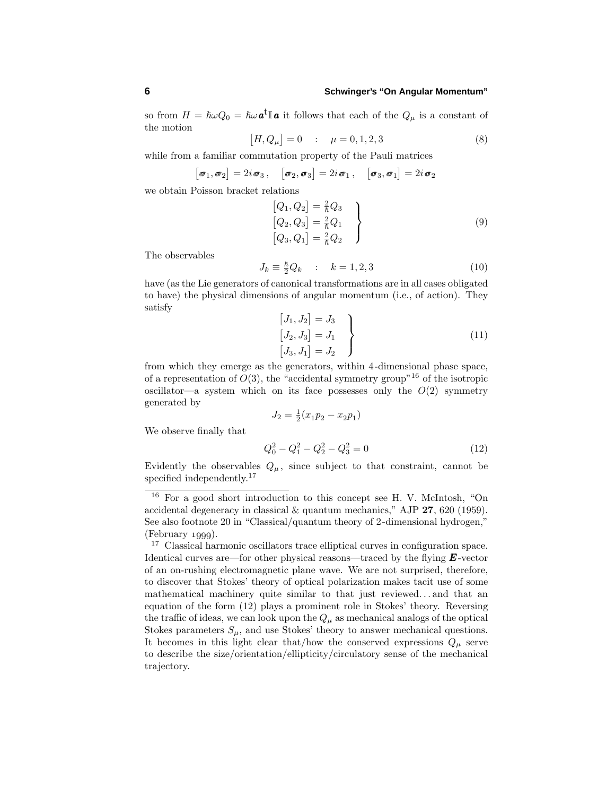so from  $H = \hbar \omega Q_0 = \hbar \omega \mathbf{a}^{\dagger} \mathbf{a}$  it follows that each of the  $Q_\mu$  is a constant of the motion

$$
[H, Q_{\mu}] = 0 \quad : \quad \mu = 0, 1, 2, 3 \tag{8}
$$

while from a familiar commutation property of the Pauli matrices

$$
[\boldsymbol{\sigma}_1, \boldsymbol{\sigma}_2] = 2i\boldsymbol{\sigma}_3, \quad [\boldsymbol{\sigma}_2, \boldsymbol{\sigma}_3] = 2i\boldsymbol{\sigma}_1, \quad [\boldsymbol{\sigma}_3, \boldsymbol{\sigma}_1] = 2i\boldsymbol{\sigma}_2
$$

we obtain Poisson bracket relations

$$
\begin{aligned}\n[Q_1, Q_2] &= \frac{2}{\hbar} Q_3 \\
[Q_2, Q_3] &= \frac{2}{\hbar} Q_1 \\
[Q_3, Q_1] &= \frac{2}{\hbar} Q_2\n\end{aligned}
$$
\n(9)

The observables

$$
J_k \equiv \frac{\hbar}{2} Q_k \qquad ; \qquad k = 1, 2, 3 \tag{10}
$$

have (as the Lie generators of canonical transformations are in all cases obligated to have) the physical dimensions of angular momentum (i.e., of action). They satisfy

$$
\begin{aligned}\n[J_1, J_2] &= J_3 \\
[J_2, J_3] &= J_1 \\
[J_3, J_1] &= J_2\n\end{aligned}
$$
\n(11)

from which they emerge as the generators, within 4-dimensional phase space, of a representation of  $O(3)$ , the "accidental symmetry group"<sup>16</sup> of the isotropic oscillator—a system which on its face possesses only the  $O(2)$  symmetry generated by

$$
J_2 = \frac{1}{2}(x_1 p_2 - x_2 p_1)
$$

We observe finally that

$$
Q_0^2 - Q_1^2 - Q_2^2 - Q_3^2 = 0 \tag{12}
$$

Evidently the observables  $Q_\mu$ , since subject to that constraint, cannot be specified independently.<sup>17</sup>

<sup>16</sup> For a good short introduction to this concept see H. V. McIntosh, "On accidental degeneracy in classical & quantum mechanics," AJP **27**, 620 (1959). See also footnote 20 in "Classical/quantum theory of 2-dimensional hydrogen,"  $(February 1999).$ 

<sup>17</sup> Classical harmonic oscillators trace elliptical curves in configuration space. Identical curves are—for other physical reasons—traced by the flying *E* -vector of an on-rushing electromagnetic plane wave. We are not surprised, therefore, to discover that Stokes' theory of optical polarization makes tacit use of some mathematical machinery quite similar to that just reviewed*...* and that an equation of the form (12) plays a prominent role in Stokes' theory. Reversing the traffic of ideas, we can look upon the  $Q_{\mu}$  as mechanical analogs of the optical Stokes parameters  $S_\mu$ , and use Stokes' theory to answer mechanical questions. It becomes in this light clear that/how the conserved expressions  $Q_\mu$  serve to describe the size/orientation/ellipticity/circulatory sense of the mechanical trajectory.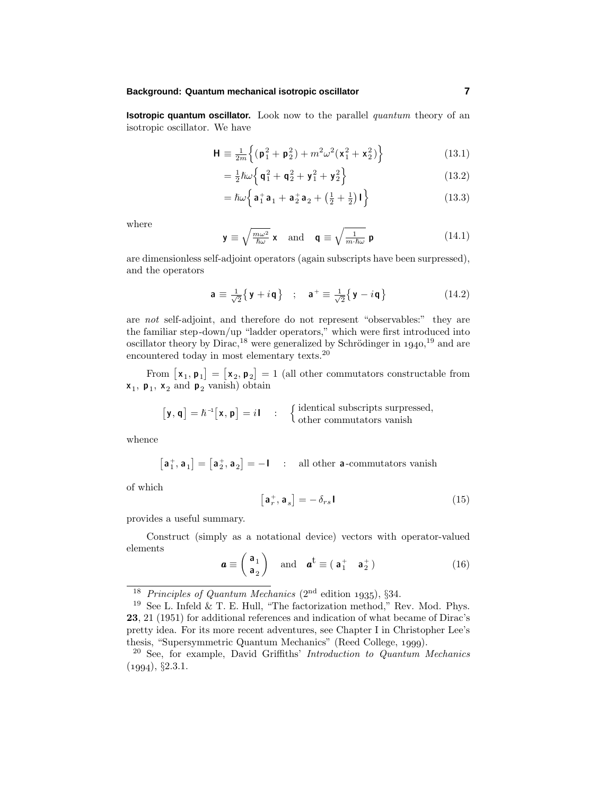**Isotropic quantum oscillator.** Look now to the parallel *quantum* theory of an isotropic oscillator. We have

$$
\mathbf{H} \equiv \frac{1}{2m} \left\{ (\mathbf{p}_1^2 + \mathbf{p}_2^2) + m^2 \omega^2 (\mathbf{x}_1^2 + \mathbf{x}_2^2) \right\}
$$
 (13.1)

$$
= \frac{1}{2}\hbar\omega\left\{\mathbf{q}_1^2 + \mathbf{q}_2^2 + \mathbf{y}_1^2 + \mathbf{y}_2^2\right\} \tag{13.2}
$$

$$
= \hbar\omega \left\{ \mathbf{a}_1^+ \mathbf{a}_1 + \mathbf{a}_2^+ \mathbf{a}_2 + \left(\frac{1}{2} + \frac{1}{2}\right) \mathbf{I} \right\} \tag{13.3}
$$

where

$$
\mathbf{y} \equiv \sqrt{\frac{m\omega^2}{\hbar \omega}} \mathbf{x} \quad \text{and} \quad \mathbf{q} \equiv \sqrt{\frac{1}{m \cdot \hbar \omega}} \mathbf{p}
$$
 (14.1)

are dimensionless self-adjoint operators (again subscripts have been surpressed), and the operators

$$
\mathbf{a} \equiv \frac{1}{\sqrt{2}} \{ \mathbf{y} + i \mathbf{q} \} \quad ; \quad \mathbf{a}^+ \equiv \frac{1}{\sqrt{2}} \{ \mathbf{y} - i \mathbf{q} \}
$$
 (14.2)

are not self-adjoint, and therefore do not represent "observables:" they are the familiar step-down/up "ladder operators," which were first introduced into oscillator theory by Dirac,<sup>18</sup> were generalized by Schrödinger in  $1940$ ,<sup>19</sup> and are encountered today in most elementary texts.<sup>20</sup>

From  $\begin{bmatrix} \mathbf{x}_1, \mathbf{p}_1 \end{bmatrix} = \begin{bmatrix} \mathbf{x}_2, \mathbf{p}_2 \end{bmatrix} = 1$  (all other commutators constructable from  $\mathbf{x}_1$ ,  $\mathbf{p}_1$ ,  $\mathbf{x}_2$  and  $\mathbf{p}_2$  vanish) obtain

$$
\big[\mathbf{y},\mathbf{q}\big]=\hbar^{-1}\big[\mathbf{x},\mathbf{p}\big]=i\mathbf{I}\quad:\quad\big\{\text{identical subscripts surpressed},\\\text{other commutators vanish}
$$

whence

$$
\begin{bmatrix}a_1^+,a_1\end{bmatrix}=\begin{bmatrix}a_2^+,a_2\end{bmatrix}=-\mathbf{I}\quad:\quad\text{all other $a$-commutators vanish}
$$

of which

$$
\mathbf{a}_r^+, \mathbf{a}_s] = -\delta_{rs} \mathbf{I} \tag{15}
$$

provides a useful summary.

Construct (simply as a notational device) vectors with operator-valued elements

$$
\boldsymbol{a} \equiv \begin{pmatrix} \mathbf{a}_1 \\ \mathbf{a}_2 \end{pmatrix} \quad \text{and} \quad \boldsymbol{a}^{\dagger} \equiv (\mathbf{a}_1^+ \quad \mathbf{a}_2^+) \tag{16}
$$

ſ

<sup>&</sup>lt;sup>18</sup> Principles of Quantum Mechanics (2<sup>nd</sup> edition 1935), §34.

 $^{19}$  See L. Infeld & T. E. Hull, "The factorization method," Rev. Mod. Phys. **23**, 21 (1951) for additional references and indication of what became of Dirac's pretty idea. For its more recent adventures, see Chapter I in Christopher Lee's thesis, "Supersymmetric Quantum Mechanics" (Reed College, 1999).

 $20$  See, for example, David Griffiths' Introduction to Quantum Mechanics  $(1994), §2.3.1.$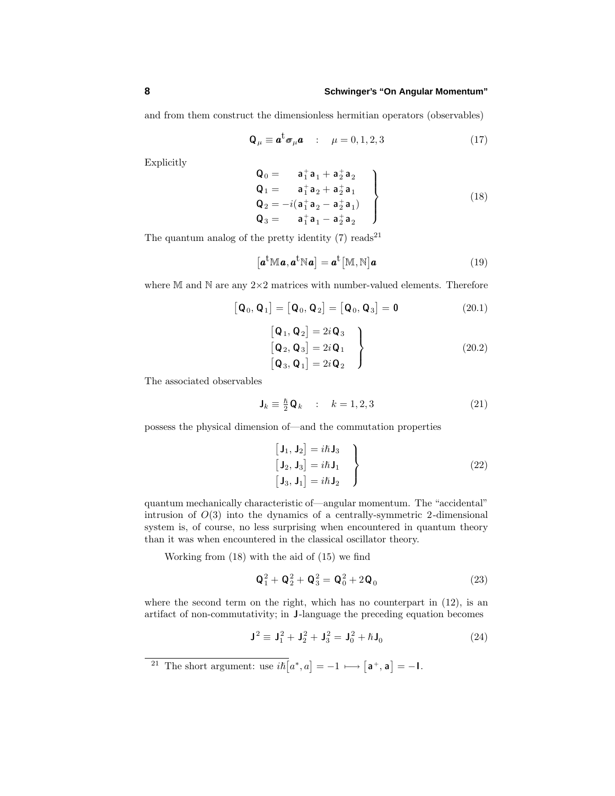and from them construct the dimensionless hermitian operators (observables)

$$
\mathbf{Q}_{\mu} \equiv \mathbf{a}^{\mathrm{t}} \boldsymbol{\sigma}_{\mu} \mathbf{a} \quad : \quad \mu = 0, 1, 2, 3 \tag{17}
$$

Explicitly

$$
\begin{array}{c}\n\mathbf{Q}_0 = \mathbf{a}_1^+ \mathbf{a}_1 + \mathbf{a}_2^+ \mathbf{a}_2 \\
\mathbf{Q}_1 = \mathbf{a}_1^+ \mathbf{a}_2 + \mathbf{a}_2^+ \mathbf{a}_1 \\
\mathbf{Q}_2 = -i(\mathbf{a}_1^+ \mathbf{a}_2 - \mathbf{a}_2^+ \mathbf{a}_1) \\
\mathbf{Q}_3 = \mathbf{a}_1^+ \mathbf{a}_1 - \mathbf{a}_2^+ \mathbf{a}_2\n\end{array}
$$
\n(18)

The quantum analog of the pretty identity  $(7)$  reads<sup>21</sup>

$$
\left[\boldsymbol{a}^{\mathrm{t}}\mathbb{M}\boldsymbol{a},\boldsymbol{a}^{\mathrm{t}}\mathbb{N}\boldsymbol{a}\right]=\boldsymbol{a}^{\mathrm{t}}\left[\mathbb{M},\mathbb{N}\right]\boldsymbol{a}\tag{19}
$$

where  $M$  and  $N$  are any  $2\times 2$  matrices with number-valued elements. Therefore

$$
\left[\mathbf{Q}_0, \mathbf{Q}_1\right] = \left[\mathbf{Q}_0, \mathbf{Q}_2\right] = \left[\mathbf{Q}_0, \mathbf{Q}_3\right] = \mathbf{0} \tag{20.1}
$$

$$
\begin{bmatrix}\n\mathbf{Q}_1, \mathbf{Q}_2\n\end{bmatrix} = 2i\mathbf{Q}_3
$$
\n
$$
\begin{bmatrix}\n\mathbf{Q}_2, \mathbf{Q}_3\n\end{bmatrix} = 2i\mathbf{Q}_1
$$
\n
$$
\begin{bmatrix}\n\mathbf{Q}_3, \mathbf{Q}_1\n\end{bmatrix} = 2i\mathbf{Q}_2
$$
\n(20.2)

The associated observables

$$
\mathbf{J}_k \equiv \frac{\hbar}{2} \mathbf{Q}_k \quad : \quad k = 1, 2, 3 \tag{21}
$$

possess the physical dimension of—and the commutation properties

$$
\begin{aligned}\n\begin{bmatrix}\n\mathbf{J}_1, \mathbf{J}_2\n\end{bmatrix} &= i\hbar \mathbf{J}_3\\
\begin{bmatrix}\n\mathbf{J}_2, \mathbf{J}_3\n\end{bmatrix} &= i\hbar \mathbf{J}_1\\
\begin{bmatrix}\n\mathbf{J}_3, \mathbf{J}_1\n\end{bmatrix} &= i\hbar \mathbf{J}_2\n\end{aligned}
$$
\n(22)

quantum mechanically characteristic of—angular momentum. The "accidental" intrusion of *O*(3) into the dynamics of a centrally-symmetric 2-dimensional system is, of course, no less surprising when encountered in quantum theory than it was when encountered in the classical oscillator theory.

Working from (18) with the aid of (15) we find

$$
Q_1^2 + Q_2^2 + Q_3^2 = Q_0^2 + 2Q_0
$$
 (23)

where the second term on the right, which has no counterpart in  $(12)$ , is an artifact of non-commutativity; in **J**-language the preceding equation becomes

$$
\mathbf{J}^2 \equiv \mathbf{J}_1^2 + \mathbf{J}_2^2 + \mathbf{J}_3^2 = \mathbf{J}_0^2 + \hbar \mathbf{J}_0 \tag{24}
$$

<sup>&</sup>lt;sup>21</sup> The short argument: use  $i\hbar[a^*, a] = -1 \longmapsto [a^+, a] = -1$ .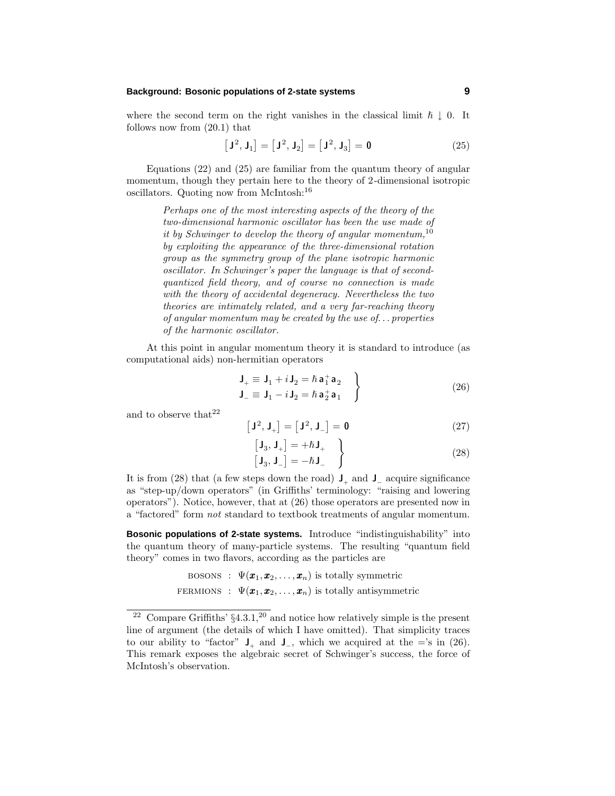where the second term on the right vanishes in the classical limit  $\hbar \downarrow 0$ . It follows now from (20.1) that

$$
\left[\mathbf{J}^2, \mathbf{J}_1\right] = \left[\mathbf{J}^2, \mathbf{J}_2\right] = \left[\mathbf{J}^2, \mathbf{J}_3\right] = \mathbf{0} \tag{25}
$$

Equations (22) and (25) are familiar from the quantum theory of angular momentum, though they pertain here to the theory of 2-dimensional isotropic oscillators. Quoting now from McIntosh:<sup>16</sup>

> Perhaps one of the most interesting aspects of the theory of the two-dimensional harmonic oscillator has been the use made of it by Schwinger to develop the theory of angular momentum,  $10$ by exploiting the appearance of the three-dimensional rotation group as the symmetry group of the plane isotropic harmonic oscillator. In Schwinger's paper the language is that of secondquantized field theory, and of course no connection is made with the theory of accidental degeneracy. Nevertheless the two theories are intimately related, and a very far-reaching theory of angular momentum may be created by the use of*...* properties of the harmonic oscillator.

At this point in angular momentum theory it is standard to introduce (as computational aids) non-hermitian operators

$$
\mathbf{J}_{+} \equiv \mathbf{J}_{1} + i \mathbf{J}_{2} = \hbar \mathbf{a}_{1}^{+} \mathbf{a}_{2} \n\mathbf{J}_{-} \equiv \mathbf{J}_{1} - i \mathbf{J}_{2} = \hbar \mathbf{a}_{2}^{+} \mathbf{a}_{1}
$$
\n(26)

and to observe that  $22$ 

$$
\left[\mathbf{J}^2, \mathbf{J}_+\right] = \left[\mathbf{J}^2, \mathbf{J}_-\right] = \mathbf{0} \tag{27}
$$

$$
\begin{bmatrix} \mathbf{J}_3, \mathbf{J}_+ \end{bmatrix} = +\hbar \mathbf{J}_+ \qquad \qquad (28)
$$

It is from (28) that (a few steps down the road)  $J_{+}$  and  $J_{-}$  acquire significance as "step-up/down operators" (in Griffiths' terminology: "raising and lowering operators"). Notice, however, that at (26) those operators are presented now in a "factored" form not standard to textbook treatments of angular momentum.

**Bosonic populations of 2-state systems.** Introduce "indistinguishability" into the quantum theory of many-particle systems. The resulting "quantum field theory" comes in two flavors, according as the particles are

BOSONS : 
$$
\Psi(\boldsymbol{x}_1, \boldsymbol{x}_2, ..., \boldsymbol{x}_n)
$$
 is totally symmetric  
FERMIONS :  $\Psi(\boldsymbol{x}_1, \boldsymbol{x}_2, ..., \boldsymbol{x}_n)$  is totally antisymmetric

<sup>&</sup>lt;sup>22</sup> Compare Griffiths'  $\S 4.3.1$ <sup>20</sup> and notice how relatively simple is the present line of argument (the details of which I have omitted). That simplicity traces to our ability to "factor"  $J_+$  and  $J_-$ , which we acquired at the ='s in (26). This remark exposes the algebraic secret of Schwinger's success, the force of McIntosh's observation.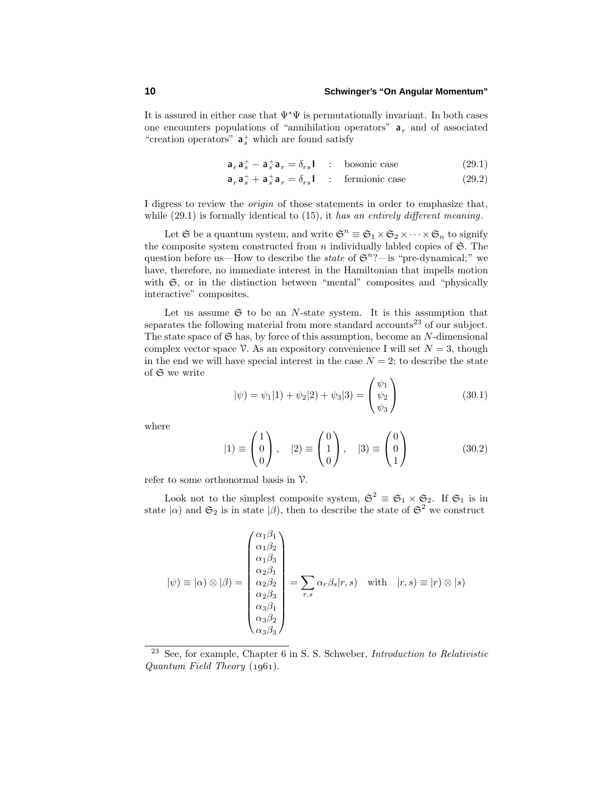It is assured in either case that  $\Psi^*\Psi$  is permutationally invariant. In both cases one encounters populations of "annihilation operators"  $a_r$  and of associated "creation operators"  $a_s^+$  which are found satisfy

$$
\mathbf{a}_r \mathbf{a}_s^+ - \mathbf{a}_s^+ \mathbf{a}_r = \delta_{rs} \mathbf{I} \quad : \quad \text{bosonic case} \tag{29.1}
$$

$$
\mathbf{a}_r \mathbf{a}_s^+ + \mathbf{a}_s^+ \mathbf{a}_r = \delta_{rs} \mathbf{I} \quad : \quad \text{fermionic case} \tag{29.2}
$$

I digress to review the origin of those statements in order to emphasize that, while  $(29.1)$  is formally identical to  $(15)$ , it has an entirely different meaning.

Let  $\mathfrak{S}$  be a quantum system, and write  $\mathfrak{S}^n \equiv \mathfrak{S}_1 \times \mathfrak{S}_2 \times \cdots \times \mathfrak{S}_n$  to signify the composite system constructed from  $n$  individually labled copies of  $\mathfrak{S}$ . The question before us—How to describe the *state* of  $\mathfrak{S}^n$ ?—is "pre-dynamical;" we have, therefore, no immediate interest in the Hamiltonian that impells motion with  $\mathfrak{S}$ , or in the distinction between "mental" composites and "physically interactive" composites.

Let us assume  $\mathfrak S$  to be an *N*-state system. It is this assumption that separates the following material from more standard accounts<sup>23</sup> of our subject. The state space of  $\mathfrak S$  has, by force of this assumption, become an *N*-dimensional complex vector space V. As an expository convenience I will set  $N = 3$ , though in the end we will have special interest in the case  $N = 2$ ; to describe the state of S we write

$$
|\psi) = \psi_1|1\rangle + \psi_2|2\rangle + \psi_3|3\rangle = \begin{pmatrix} \psi_1 \\ \psi_2 \\ \psi_3 \end{pmatrix}
$$
 (30.1)

where

$$
|1\rangle \equiv \begin{pmatrix} 1 \\ 0 \\ 0 \end{pmatrix}, \quad |2\rangle \equiv \begin{pmatrix} 0 \\ 1 \\ 0 \end{pmatrix}, \quad |3\rangle \equiv \begin{pmatrix} 0 \\ 0 \\ 1 \end{pmatrix} \tag{30.2}
$$

refer to some orthonormal basis in  $\nu$ .

Look not to the simplest composite system,  $\mathfrak{S}^2 \equiv \mathfrak{S}_1 \times \mathfrak{S}_2$ . If  $\mathfrak{S}_1$  is in state  $|\alpha\rangle$  and  $\mathfrak{S}_2$  is in state  $|\beta\rangle$ , then to describe the state of  $\mathfrak{S}^2$  we construct

$$
|\psi) \equiv |\alpha\rangle \otimes |\beta\rangle = \begin{pmatrix} \alpha_1 \beta_1 \\ \alpha_1 \beta_2 \\ \alpha_2 \beta_1 \\ \alpha_2 \beta_2 \\ \alpha_3 \beta_1 \\ \alpha_3 \beta_2 \\ \alpha_3 \beta_3 \end{pmatrix} = \sum_{r,s} \alpha_r \beta_s |r,s \rangle \quad \text{with} \quad |r,s\rangle \equiv |r\rangle \otimes |s\rangle
$$

 $23$  See, for example, Chapter 6 in S. S. Schweber, *Introduction to Relativistic*  $Quantum Field Theory (1961).$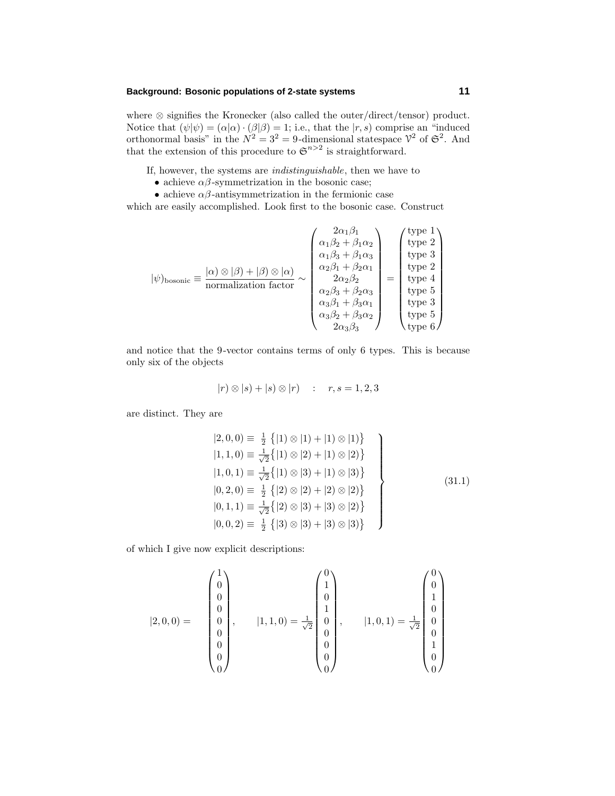where ⊗ signifies the Kronecker (also called the outer/direct/tensor) product. Notice that  $(\psi|\psi) = (\alpha|\alpha) \cdot (\beta|\beta) = 1$ ; i.e., that the  $|r, s$  comprise an "induced" orthonormal basis" in the  $N^2 = 3^2 = 9$ -dimensional statespace  $\mathcal{V}^2$  of  $\mathfrak{S}^2$ . And that the extension of this procedure to  $\mathfrak{S}^{n>2}$  is straightforward.

If, however, the systems are indistinguishable, then we have to

- achieve  $\alpha\beta$ -symmetrization in the bosonic case;
- achieve  $\alpha\beta$ -antisymmetrization in the fermionic case

which are easily accomplished. Look first to the bosonic case. Construct

$$
|\psi)_{\text{bosonic}} \equiv \frac{|\alpha\rangle\otimes|\beta\rangle + |\beta\rangle\otimes|\alpha\rangle}{\text{normalization factor}} \sim \begin{pmatrix} 2\alpha_1\beta_1\\ \alpha_1\beta_2 + \beta_1\alpha_2\\ \alpha_1\beta_3 + \beta_1\alpha_3\\ \alpha_2\beta_1 + \beta_2\alpha_1\\ \alpha_2\beta_2\\ \alpha_3\beta_1 + \beta_3\alpha_1\\ \alpha_3\beta_2 + \beta_3\alpha_2\\ 2\alpha_3\beta_3 \end{pmatrix} = \begin{pmatrix} \text{type 1} \\ \text{type 2} \\ \text{type 3} \\ \text{type 4} \\ \text{type 5} \\ \text{type 5} \\ \text{type 6} \end{pmatrix}
$$

and notice that the 9-vector contains terms of only 6 types. This is because only six of the objects

$$
|r) \otimes |s) + |s) \otimes |r) \quad : \quad r, s = 1, 2, 3
$$

are distinct. They are

$$
|2,0,0) \equiv \frac{1}{2} \{ |1\rangle \otimes |1\rangle + |1\rangle \otimes |1\rangle \} \n|1,1,0) \equiv \frac{1}{\sqrt{2}} \{ |1\rangle \otimes |2\rangle + |1\rangle \otimes |2\rangle \} \n|1,0,1) \equiv \frac{1}{\sqrt{2}} \{ |1\rangle \otimes |3\rangle + |1\rangle \otimes |3\rangle \} \n|0,2,0) \equiv \frac{1}{2} \{ |2\rangle \otimes |2\rangle + |2\rangle \otimes |2\rangle \} \n|0,1,1) \equiv \frac{1}{\sqrt{2}} \{ |2\rangle \otimes |3\rangle + |3\rangle \otimes |2\rangle \} \n|0,0,2) \equiv \frac{1}{2} \{ |3\rangle \otimes |3\rangle + |3\rangle \otimes |3\rangle \}
$$
\n(31.1)

of which I give now explicit descriptions:

$$
[2,0,0) = \begin{pmatrix} 1 \\ 0 \\ 0 \\ 0 \\ 0 \\ 0 \\ 0 \\ 0 \end{pmatrix}, \qquad [1,1,0) = \frac{1}{\sqrt{2}} \begin{pmatrix} 0 \\ 1 \\ 0 \\ 1 \\ 0 \\ 0 \\ 0 \\ 0 \end{pmatrix}, \qquad [1,0,1) = \frac{1}{\sqrt{2}} \begin{pmatrix} 0 \\ 0 \\ 1 \\ 0 \\ 0 \\ 0 \\ 0 \\ 0 \end{pmatrix}
$$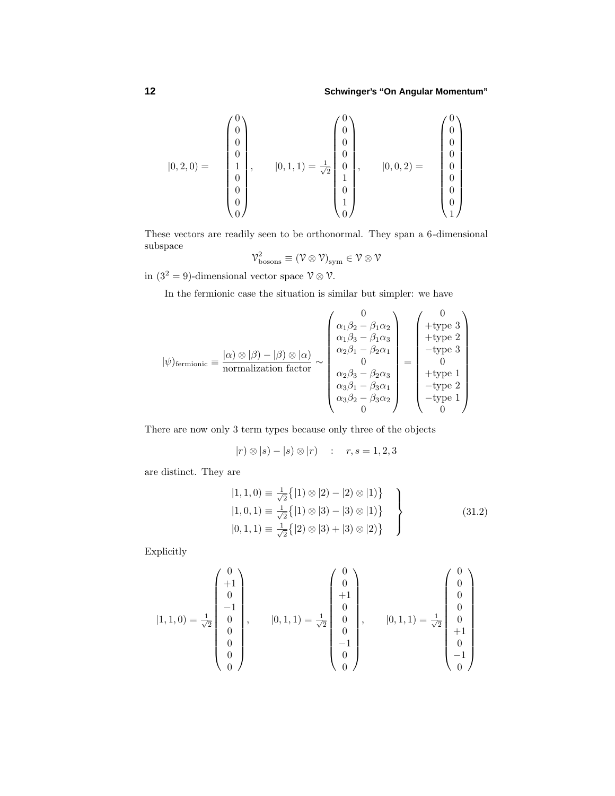$$
|0,2,0) = \begin{pmatrix} 0 \\ 0 \\ 0 \\ 0 \\ 1 \\ 0 \\ 0 \\ 0 \\ 0 \end{pmatrix}, \qquad |0,1,1) = \frac{1}{\sqrt{2}} \begin{pmatrix} 0 \\ 0 \\ 0 \\ 0 \\ 1 \\ 1 \\ 0 \\ 1 \end{pmatrix}, \qquad |0,0,2) = \begin{pmatrix} 0 \\ 0 \\ 0 \\ 0 \\ 0 \\ 0 \\ 1 \\ 1 \end{pmatrix}
$$

These vectors are readily seen to be orthonormal. They span a 6-dimensional subspace

$$
\mathcal{V}_{\rm bosons}^2\equiv\left(\mathcal{V}\otimes\mathcal{V}\right)_{\rm sym}\in\mathcal{V}\otimes\mathcal{V}
$$

in  $(3^2 = 9)$ -dimensional vector space  $\mathcal{V} \otimes \mathcal{V}$ .

In the fermionic case the situation is similar but simpler: we have

$$
|\psi\rangle_{\text{fermionic}} \equiv \frac{|\alpha\rangle \otimes |\beta\rangle - |\beta\rangle \otimes |\alpha\rangle}{\text{normalization factor}} \sim \begin{pmatrix} 0 \\ \alpha_1\beta_2 - \beta_1\alpha_2 \\ \alpha_1\beta_3 - \beta_1\alpha_3 \\ \alpha_2\beta_1 - \beta_2\alpha_1 \\ 0 \\ \alpha_3\beta_1 - \beta_3\alpha_1 \\ \alpha_3\beta_2 - \beta_3\alpha_2 \\ 0 \end{pmatrix} = \begin{pmatrix} 0 \\ +\text{type 3} \\ +\text{type 2} \\ -\text{type 3} \\ 0 \\ -\text{type 1} \\ -\text{type 2} \\ -\text{type 1} \\ 0 \end{pmatrix}
$$

There are now only 3 term types because only three of the objects

$$
|r| \otimes |s| - |s| \otimes |r|
$$
 :  $r, s = 1, 2, 3$ 

are distinct. They are

$$
|1, 1, 0\rangle = \frac{1}{\sqrt{2}} \{|1\rangle \otimes |2\rangle - |2\rangle \otimes |1\rangle
$$
  
\n
$$
|1, 0, 1\rangle = \frac{1}{\sqrt{2}} \{|1\rangle \otimes |3\rangle - |3\rangle \otimes |1\rangle
$$
  
\n
$$
|0, 1, 1\rangle = \frac{1}{\sqrt{2}} \{|2\rangle \otimes |3\rangle + |3\rangle \otimes |2\rangle
$$
 (31.2)

Explicitly

$$
|1,1,0) = \frac{1}{\sqrt{2}} \begin{pmatrix} 0 \\ +1 \\ 0 \\ -1 \\ 0 \\ 0 \\ 0 \\ 0 \end{pmatrix}, \qquad |0,1,1) = \frac{1}{\sqrt{2}} \begin{pmatrix} 0 \\ 0 \\ +1 \\ 0 \\ 0 \\ 0 \\ -1 \\ 0 \end{pmatrix}, \qquad |0,1,1) = \frac{1}{\sqrt{2}} \begin{pmatrix} 0 \\ 0 \\ 0 \\ 0 \\ +1 \\ 0 \\ -1 \\ 0 \end{pmatrix}
$$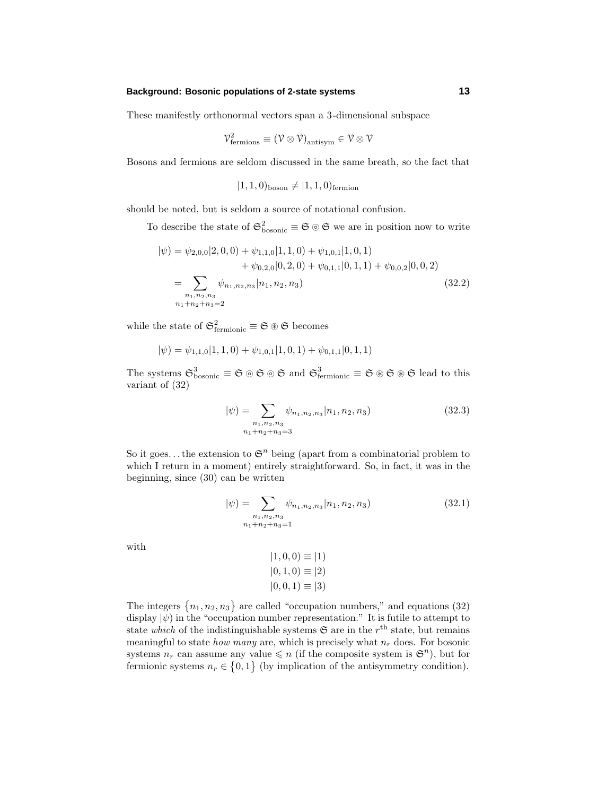These manifestly orthonormal vectors span a 3-dimensional subspace

$$
\mathcal{V}^2_{\rm fermions}\equiv(\mathcal{V}\otimes\mathcal{V})_{\rm antisym}\in\mathcal{V}\otimes\mathcal{V}
$$

Bosons and fermions are seldom discussed in the same breath, so the fact that

$$
(1, 1, 0)_{\text{boson}} \neq (1, 1, 0)_{\text{fermion}}
$$

should be noted, but is seldom a source of notational confusion.

To describe the state of  $\mathfrak{S}^2_{\text{bosonic}} \equiv \mathfrak{S} \circ \mathfrak{S}$  we are in position now to write

$$
|\psi\rangle = \psi_{2,0,0}|2,0,0\rangle + \psi_{1,1,0}|1,1,0\rangle + \psi_{1,0,1}|1,0,1\rangle + \psi_{0,2,0}|0,2,0\rangle + \psi_{0,1,1}|0,1,1\rangle + \psi_{0,0,2}|0,0,2\rangle = \sum_{\substack{n_1,n_2,n_3\\n_1+n_2+n_3=2}} \psi_{n_1,n_2,n_3}|n_1,n_2,n_3\rangle
$$
(32.2)

while the state of  $\mathfrak{S}^2_{\text{fermionic}} \equiv \mathfrak{S} \circledast \mathfrak{S}$  becomes

$$
|\psi) = \psi_{1,1,0}|1,1,0\rangle + \psi_{1,0,1}|1,0,1\rangle + \psi_{0,1,1}|0,1,1\rangle
$$

The systems  $\mathfrak{S}^3_{\text{bosonic}} \equiv \mathfrak{S} \otimes \mathfrak{S} \otimes \mathfrak{S}$  and  $\mathfrak{S}^3_{\text{fermionic}} \equiv \mathfrak{S} \otimes \mathfrak{S} \otimes \mathfrak{S}$  lead to this variant of (32)

$$
|\psi\rangle = \sum_{\substack{n_1, n_2, n_3 \\ n_1 + n_2 + n_3 = 3}} \psi_{n_1, n_2, n_3} |n_1, n_2, n_3\rangle
$$
 (32.3)

So it goes... the extension to  $\mathfrak{S}^n$  being (apart from a combinatorial problem to which I return in a moment) entirely straightforward. So, in fact, it was in the beginning, since (30) can be written

$$
|\psi\rangle = \sum_{\substack{n_1, n_2, n_3 \\ n_1 + n_2 + n_3 = 1}} \psi_{n_1, n_2, n_3} |n_1, n_2, n_3\rangle
$$
 (32.1)

with

$$
|1, 0, 0) \equiv |1\rangle
$$
  

$$
|0, 1, 0) \equiv |2\rangle
$$
  

$$
|0, 0, 1) \equiv |3\rangle
$$

The integers  $\{n_1, n_2, n_3\}$  are called "occupation numbers," and equations (32) display  $|\psi\rangle$  in the "occupation number representation." It is futile to attempt to state which of the indistinguishable systems  $\mathfrak{S}$  are in the  $r<sup>th</sup>$  state, but remains meaningful to state *how many* are, which is precisely what  $n_r$  does. For bosonic systems  $n_r$  can assume any value  $\leq n$  (if the composite system is  $\mathfrak{S}^n$ ), but for fermionic systems  $n_r \in \{0,1\}$  (by implication of the antisymmetry condition).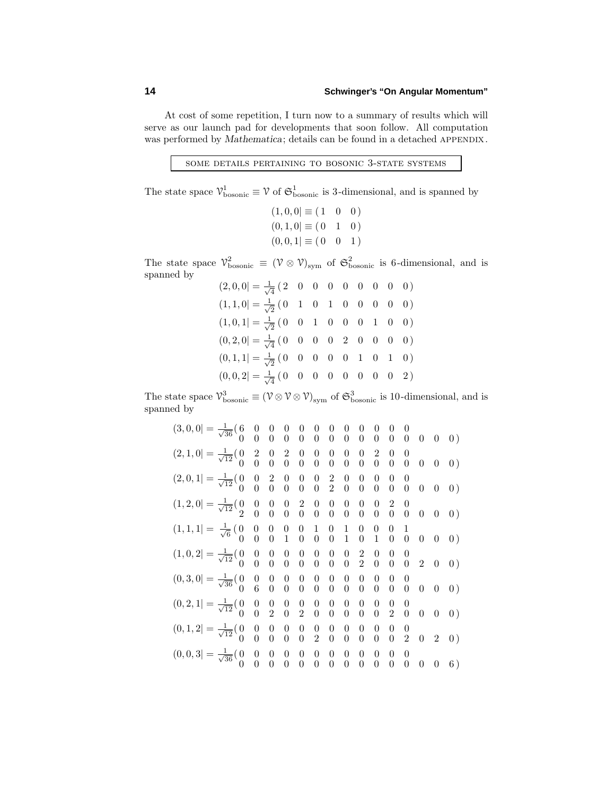At cost of some repetition, I turn now to a summary of results which will serve as our launch pad for developments that soon follow. All computation was performed by *Mathematica*; details can be found in a detached APPENDIX.

The state space  $\mathcal{V}_{\text{bosonic}}^1 \equiv \mathcal{V}$  of  $\mathfrak{S}_{\text{bosonic}}^1$  is 3-dimensional, and is spanned by

 $(1,0,0] \equiv (1 \ 0 \ 0)$  $(0, 1, 0] \equiv (0 \quad 1 \quad 0)$  $(0,0,1] \equiv (0 \ 0 \ 1)$ 

The state space  $\mathcal{V}_{\text{bosonic}}^2 \equiv (\mathcal{V} \otimes \mathcal{V})_{\text{sym}}$  of  $\mathfrak{S}_{\text{bosonic}}^2$  is 6-dimensional, and is spanned by

| $(2,0,0] = \frac{1}{\sqrt{4}} (2 \ 0 \ 0 \ 0 \ 0 \ 0 \ 0 \ 0 \ 0)$     |  |  |  |  |
|------------------------------------------------------------------------|--|--|--|--|
| $(1,1,0] = \frac{1}{\sqrt{2}} (0 \ 1 \ 0 \ 1 \ 0 \ 0 \ 0 \ 0 \ 0)$     |  |  |  |  |
| $(1,0,1] = \frac{1}{\sqrt{2}} (0 \ 0 \ 1 \ 0 \ 0 \ 0 \ 1 \ 0 \ 0)$     |  |  |  |  |
| $(0,2,0] = \frac{1}{\sqrt{4}} (0 \ 0 \ 0 \ 0 \ 2 \ 0 \ 0 \ 0)$         |  |  |  |  |
| $(0,1,1] = \frac{1}{\sqrt{2}} (0 \ 0 \ 0 \ 0 \ 0 \ 1 \ 0 \ 1 \ 0)$     |  |  |  |  |
| $(0,0,2] = \frac{1}{\sqrt{4}} (0 \ 0 \ 0 \ 0 \ 0 \ 0 \ 0 \ 0 \ 0 \ 2)$ |  |  |  |  |

The state space  $\mathcal{V}_{\text{bosonic}}^3 \equiv (\mathcal{V} \otimes \mathcal{V} \otimes \mathcal{V})_{\text{sym}}$  of  $\mathfrak{S}_{\text{bosonic}}^3$  is 10-dimensional, and is spanned by

(3*,* 0*,* 0| = <sup>√</sup> 1 <sup>36</sup> (6 0 0 0 0 0 0 0 0 0 0 0 0 0 0 0 0 0 0 0 0 0 0 0 0 0 0) (2*,* 1*,* 0| = <sup>√</sup> 1 <sup>12</sup> (0 2 0 2 0 0 0 0 0 2 0 0 0 0 0 0 0 0 0 0 0 0 0 0 0 0 0) (2*,* 0*,* 1| = <sup>√</sup> 1 <sup>12</sup> (0 0 2 0 0 0 2 0 0 0 0 0 0 0 0 0 0 0 2 0 0 0 0 0 0 0 0) (1*,* 2*,* 0| = <sup>√</sup> 1 <sup>12</sup> (0 0 0 0 2 0 0 0 0 0 2 0 2 0 0 0 0 0 0 0 0 0 0 0 0 0 0) (1*,* 1*,* 1| = <sup>√</sup> 1 <sup>6</sup> (0 0 0 0 0 1 0 1 0 0 0 1 0 0 0 1 0 0 0 1 0 1 0 0 0 0 0) (1*,* 0*,* 2| = <sup>√</sup> 1 <sup>12</sup> (0 0 0 0 0 0 0 0 2 0 0 0 0 0 0 0 0 0 0 0 2 0 0 0 2 0 0) (0*,* 3*,* 0| = <sup>√</sup> 1 <sup>36</sup> (0 0 0 0 0 0 0 0 0 0 0 0 0 6 0 0 0 0 0 0 0 0 0 0 0 0 0) (0*,* 2*,* 1| = <sup>√</sup> 1 <sup>12</sup> (0 0 0 0 0 0 0 0 0 0 0 0 0 0 2 0 2 0 0 0 0 0 2 0 0 0 0) (0*,* 1*,* 2| = <sup>√</sup> 1 <sup>12</sup> (0 0 0 0 0 0 0 0 0 0 0 0 0 0 0 0 0 2 0 0 0 0 0 2 0 2 0) (0*,* 0*,* 3| = <sup>√</sup> 1 <sup>36</sup> (0 0 0 0 0 0 0 0 0 0 0 0 0 0 0 0 0 0 0 0 0 0 0 0 0 0 6)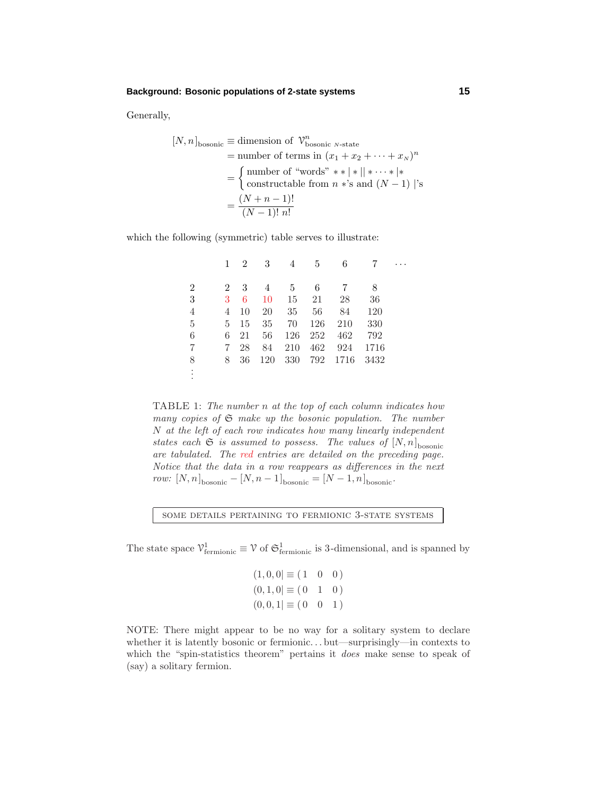Generally,

$$
[N, n]_{\text{bosonic}} \equiv \text{dimension of } \mathcal{V}_{\text{bosonic } N\text{-state}}^n
$$
  
= number of terms in  $(x_1 + x_2 + \dots + x_N)^n$   
= 
$$
\begin{cases} \text{number of "words" } * * | * || * \dots * | * \\ \text{constructable from } n * \text{'s and } (N - 1) | \text{'s} \end{cases}
$$
  
= 
$$
\frac{(N + n - 1)!}{(N - 1)! n!}
$$

which the following (symmetric) table serves to illustrate:

. . .

|                | 1              | $\overline{2}$ | 3   | 4   | 5       | 6    |      |  |
|----------------|----------------|----------------|-----|-----|---------|------|------|--|
| $\overline{2}$ | $\overline{2}$ | 3              | 4   | -5  | 6       |      | 8    |  |
| 3              | 3              | 6              | 10  | 15  | 21      | 28   | 36   |  |
| 4              | 4              | 10             | 20  | 35  | 56      | 84   | 120  |  |
| $\overline{5}$ | 5              | 15             | 35  | 70  | 126     | 210  | 330  |  |
| 6              | 6              | 21             | 56  | 126 | $252\,$ | 462  | 792  |  |
| 7              | 7              | 28             | 84  | 210 | 462     | 924  | 1716 |  |
| 8              | 8              | 36             | 120 | 330 | 792     | 1716 | 3432 |  |
| $\vdots$       |                |                |     |     |         |      |      |  |

TABLE 1: The number *n* at the top of each column indicates how many copies of  $\mathfrak S$  make up the bosonic population. The number *N* at the left of each row indicates how many linearly independent states each  $\mathfrak S$  is assumed to possess. The values of  $[N,n]_{\text{bosonic}}$ are tabulated. The red entries are detailed on the preceding page. Notice that the data in a row reappears as differences in the next  $row: [N, n]$ <sub>bosonic</sub> –  $[N, n-1]$ <sub>bosonic</sub> =  $[N-1, n]$ <sub>bosonic</sub>.

some details pertaining to fermionic 3-state systems

The state space  $\mathcal{V}^1_{\text{fermionic}} \equiv \mathcal{V}$  of  $\mathfrak{S}^1_{\text{fermionic}}$  is 3-dimensional, and is spanned by

$$
(1,0,0] \equiv (1 \ 0 \ 0)
$$
  

$$
(0,1,0] \equiv (0 \ 1 \ 0)
$$
  

$$
(0,0,1] \equiv (0 \ 0 \ 1)
$$

NOTE: There might appear to be no way for a solitary system to declare whether it is latently bosonic or fermionic*...* but—surprisingly—in contexts to which the "spin-statistics theorem" pertains it *does* make sense to speak of (say) a solitary fermion.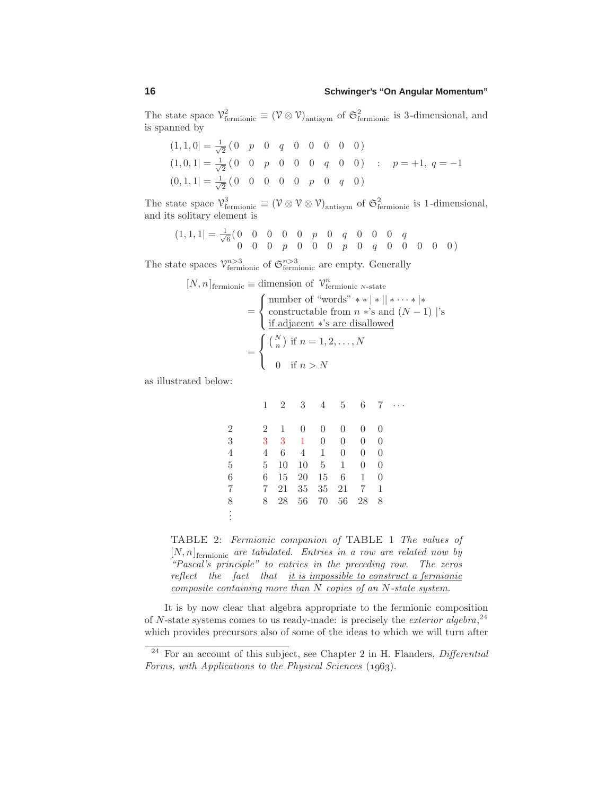The state space  $\mathcal{V}^2_{\text{fermionic}} \equiv (\mathcal{V} \otimes \mathcal{V})_{\text{antisym}}$  of  $\mathfrak{S}^2_{\text{fermionic}}$  is 3-dimensional, and is spanned by

$$
(1,1,0) = \frac{1}{\sqrt{2}} \begin{pmatrix} 0 & p & 0 & q & 0 & 0 & 0 & 0 & 0 \end{pmatrix}
$$
  
\n
$$
(1,0,1) = \frac{1}{\sqrt{2}} \begin{pmatrix} 0 & 0 & p & 0 & 0 & 0 & q & 0 & 0 \end{pmatrix} \quad : \quad p = +1, q = -1
$$
  
\n
$$
(0,1,1) = \frac{1}{\sqrt{2}} \begin{pmatrix} 0 & 0 & 0 & 0 & 0 & p & 0 & q & 0 \end{pmatrix}
$$

The state space  $\mathcal{V}_{\text{fermionic}}^3 \equiv (\mathcal{V} \otimes \mathcal{V} \otimes \mathcal{V})_{\text{antisym}}$  of  $\mathfrak{S}_{\text{fermionic}}^2$  is 1-dimensional, and its solitary element is

$$
(1,1,1) = \frac{1}{\sqrt{6}} \begin{pmatrix} 0 & 0 & 0 & 0 & 0 & p & 0 & q & 0 & 0 & 0 & q \\ 0 & 0 & 0 & p & 0 & 0 & 0 & p & 0 & q & 0 & 0 & 0 & 0 \end{pmatrix}
$$

The state spaces  $\mathcal{V}_{\text{fermionic}}^{n>3}$  of  $\mathfrak{S}_{\text{fermionic}}^{n>3}$  are empty. Generally

$$
[N, n]_{\text{fermionic}} \equiv \text{dimension of } \mathcal{V}_{\text{fermionic } N\text{-state}}^n
$$
\n
$$
= \begin{cases} \text{number of "words" } * * | * || * \cdots * | * \\ \text{constructable from } n * 's \text{ and } (N - 1) | 's \\ \text{if adjacent *'s are disallowed} \end{cases}
$$
\n
$$
= \begin{cases} {N \choose n} \text{ if } n = 1, 2, \dots, N \\ 0 \text{ if } n > N \end{cases}
$$

as illustrated below:

|                | 1              | 2            | 3              | 4 5                             |                |                |          | $6 \quad 7 \quad \cdots$ |
|----------------|----------------|--------------|----------------|---------------------------------|----------------|----------------|----------|--------------------------|
| $\overline{2}$ | $\overline{2}$ | $\mathbf{1}$ | $\overline{0}$ | $\overline{0}$                  | $\theta$       | $\theta$       | $\theta$ |                          |
| 3              | 3              |              | $3 \quad 1$    | $\begin{matrix} 0 \end{matrix}$ | $\overline{0}$ | $\theta$       | $\theta$ |                          |
| $\overline{4}$ | $\overline{4}$ | 6            |                | $4 \quad 1$                     | $\theta$       | $\theta$       | $\theta$ |                          |
| $\overline{5}$ | $5 -$          | 10           | 10 5 1         |                                 |                | $\overline{0}$ | $\Omega$ |                          |
| 6              | 6              |              | 15 20 15 6     |                                 |                | $\mathbf{1}$   | $\theta$ |                          |
| 7              | $7^{\circ}$    | 21           |                | 35 35 21 7                      |                |                | -1       |                          |
| 8              | 8              | 28           |                | 56 70 56                        |                | 28             | 8        |                          |
| $\vdots$       |                |              |                |                                 |                |                |          |                          |
|                |                |              |                |                                 |                |                |          |                          |

TABLE 2: Fermionic companion of TABLE 1 The values of  $[N, n]$ <sub>fermionic</sub> are tabulated. Entries in a row are related now by "Pascal's principle" to entries in the preceding row. The zeros reflect the fact that  $it\$  is impossible to construct a fermionic composite containing more than *N* copies of an *N*-state system.

It is by now clear that algebra appropriate to the fermionic composition of *N*-state systems comes to us ready-made: is precisely the *exterior algebra*,<sup>24</sup> which provides precursors also of some of the ideas to which we will turn after

 $24$  For an account of this subject, see Chapter 2 in H. Flanders, Differential Forms, with Applications to the Physical Sciences  $(1963)$ .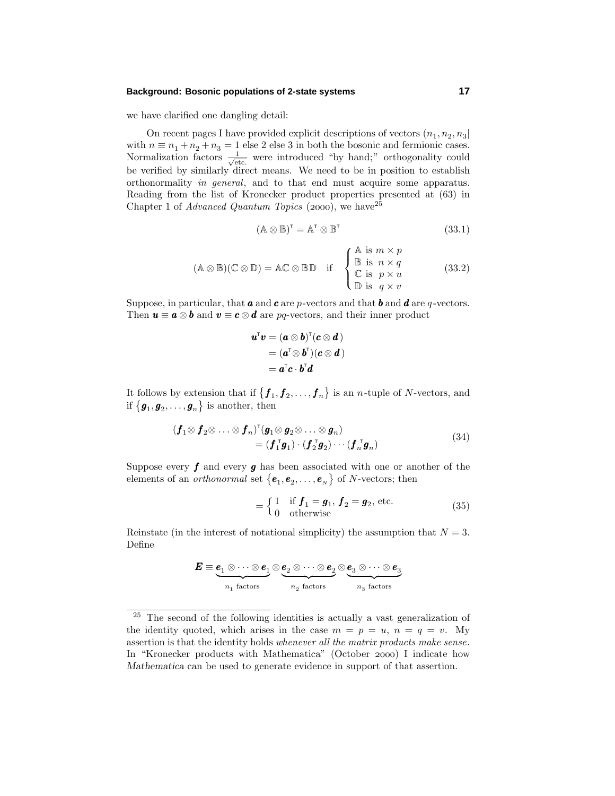we have clarified one dangling detail:

On recent pages I have provided explicit descriptions of vectors  $(n_1, n_2, n_3)$ with  $n \equiv n_1 + n_2 + n_3 = 1$  else 2 else 3 in both the bosonic and fermionic cases. Normalization factors  $\frac{1}{\sqrt{\text{etc.}}}$  were introduced "by hand;" orthogonality could be verified by similarly direct means.We need to be in position to establish orthonormality in general, and to that end must acquire some apparatus. Reading from the list of Kronecker product properties presented at (63) in Chapter 1 of *Advanced Quantum Topics* (2000), we have  $2^5$ 

$$
(\mathbb{A}\otimes\mathbb{B})^{\mathsf{T}}=\mathbb{A}^{\mathsf{T}}\otimes\mathbb{B}^{\mathsf{T}}\tag{33.1}
$$

$$
(\mathbb{A} \otimes \mathbb{B})(\mathbb{C} \otimes \mathbb{D}) = \mathbb{A}\mathbb{C} \otimes \mathbb{B}\mathbb{D} \quad \text{if} \quad \begin{cases} \mathbb{A} & \text{if } m \times p \\ \mathbb{B} & \text{if } n \times q \\ \mathbb{C} & \text{if } p \times u \\ \mathbb{D} & \text{if } q \times v \end{cases} \tag{33.2}
$$

Suppose, in particular, that  $\boldsymbol{a}$  and  $\boldsymbol{c}$  are  $p$ -vectors and that  $\boldsymbol{b}$  and  $\boldsymbol{d}$  are  $q$ -vectors. Then  $u \equiv a \otimes b$  and  $v \equiv c \otimes d$  are *pq*-vectors, and their inner product

$$
\begin{aligned} \boldsymbol{u}^{\mathsf{T}}\boldsymbol{v} &= (\boldsymbol{a} \otimes \boldsymbol{b})^{\mathsf{T}}(\boldsymbol{c} \otimes \boldsymbol{d}) \\ &= (\boldsymbol{a}^{\mathsf{T}} \otimes \boldsymbol{b}^{\mathsf{T}})(\boldsymbol{c} \otimes \boldsymbol{d}) \\ &= \boldsymbol{a}^{\mathsf{T}}\boldsymbol{c} \cdot \boldsymbol{b}^{\mathsf{T}}\boldsymbol{d} \end{aligned}
$$

It follows by extension that if  $\{f_1, f_2, \ldots, f_n\}$  is an *n*-tuple of *N*-vectors, and if  $\{\boldsymbol{g}_1, \boldsymbol{g}_2, \dots, \boldsymbol{g}_n\}$  is another, then

$$
\begin{aligned} (\boldsymbol{f}_1 \otimes \boldsymbol{f}_2 \otimes \ldots \otimes \boldsymbol{f}_n)^{\mathrm{T}} (\boldsymbol{g}_1 \otimes \boldsymbol{g}_2 \otimes \ldots \otimes \boldsymbol{g}_n) \\ &= (\boldsymbol{f}_1^{\mathrm{T}} \boldsymbol{g}_1) \cdot (\boldsymbol{f}_2^{\mathrm{T}} \boldsymbol{g}_2) \cdots (\boldsymbol{f}_n^{\mathrm{T}} \boldsymbol{g}_n) \end{aligned} \tag{34}
$$

Suppose every *f* and every *g* has been associated with one or another of the elements of an *orthonormal* set  $\{e_1, e_2, \ldots, e_{_N}\}$  of *N*-vectors; then

$$
= \begin{cases} 1 & \text{if } f_1 = g_1, f_2 = g_2, \text{ etc.} \\ 0 & \text{otherwise} \end{cases}
$$
 (35)

Reinstate (in the interest of notational simplicity) the assumption that  $N = 3$ . Define

$$
E \equiv \underbrace{e_1 \otimes \cdots \otimes e_1}_{n_1 \text{ factors}} \otimes \underbrace{e_2 \otimes \cdots \otimes e_2}_{n_2 \text{ factors}} \otimes \underbrace{e_3 \otimes \cdots \otimes e_3}_{n_3 \text{ factors}}
$$

<sup>25</sup> The second of the following identities is actually a vast generalization of the identity quoted, which arises in the case  $m = p = u$ ,  $n = q = v$ . My assertion is that the identity holds whenever all the matrix products make sense. In "Kronecker products with Mathematica" (October 2000) I indicate how *Mathematica* can be used to generate evidence in support of that assertion.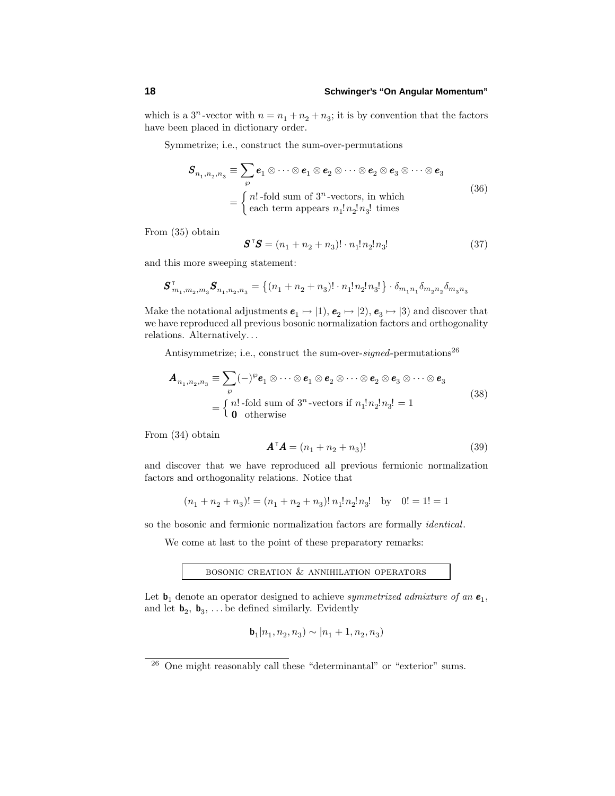which is a  $3^n$ -vector with  $n = n_1 + n_2 + n_3$ ; it is by convention that the factors have been placed in dictionary order.

Symmetrize; i.e., construct the sum-over-permutations

$$
\mathbf{S}_{n_1, n_2, n_3} \equiv \sum_{\wp} \mathbf{e}_1 \otimes \cdots \otimes \mathbf{e}_1 \otimes \mathbf{e}_2 \otimes \cdots \otimes \mathbf{e}_2 \otimes \mathbf{e}_3 \otimes \cdots \otimes \mathbf{e}_3
$$
\n
$$
= \begin{cases}\n n! \text{-fold sum of } 3^n \text{-vectors, in which} \\
 \text{each term appears } n_1! n_2! n_3! \text{ times}\n\end{cases} (36)
$$

From (35) obtain

$$
\mathbf{S}^{\top}\mathbf{S} = (n_1 + n_2 + n_3)! \cdot n_1! n_2! n_3!
$$
 (37)

and this more sweeping statement:

$$
\pmb{S}^\intercal_{m_1, m_2, m_3} \pmb{S}_{n_1, n_2, n_3} = \left\{ (n_1 + n_2 + n_3)! \cdot n_1! \, n_2! \, n_3! \right\} \cdot \delta_{m_1 n_1} \delta_{m_2 n_2} \delta_{m_3 n_3}
$$

Make the notational adjustments  $e_1 \mapsto (1), e_2 \mapsto (2), e_3 \mapsto (3)$  and discover that we have reproduced all previous bosonic normalization factors and orthogonality relations.Alternatively*...*

Antisymmetrize; i.e., construct the sum-over-signed-permutations<sup>26</sup>

$$
\mathbf{A}_{n_1, n_2, n_3} \equiv \sum_{\wp} (-)^{\wp} \mathbf{e}_1 \otimes \cdots \otimes \mathbf{e}_1 \otimes \mathbf{e}_2 \otimes \cdots \otimes \mathbf{e}_2 \otimes \mathbf{e}_3 \otimes \cdots \otimes \mathbf{e}_3
$$
\n
$$
= \begin{cases}\n n! \text{-fold sum of } 3^n \text{-vectors if } n_1! n_2! n_3! = 1 \\
 \mathbf{0} \text{ otherwise}\n\end{cases} \tag{38}
$$

From (34) obtain

$$
\mathbf{A}^{\mathsf{T}}\mathbf{A} = (n_1 + n_2 + n_3)!
$$
 (39)

and discover that we have reproduced all previous fermionic normalization factors and orthogonality relations. Notice that

$$
(n_1+n_2+n_3)!=(n_1+n_2+n_3)!\, n_1!n_2!n_3!\quad\text{by}\quad 0!=1!=1
$$

so the bosonic and fermionic normalization factors are formally identical.

We come at last to the point of these preparatory remarks:

BOSONIC CREATION  $\&$  ANNIHILATION OPERATORS

Let  $\mathbf{b}_1$  denote an operator designed to achieve *symmetrized admixture of an*  $\mathbf{e}_1$ , and let  $\mathbf{b}_2$ ,  $\mathbf{b}_3$ , ... be defined similarly. Evidently

$$
\mathbf{b}_1 | n_1, n_2, n_3) \sim | n_1 + 1, n_2, n_3)
$$

<sup>26</sup> One might reasonably call these "determinantal" or "exterior" sums.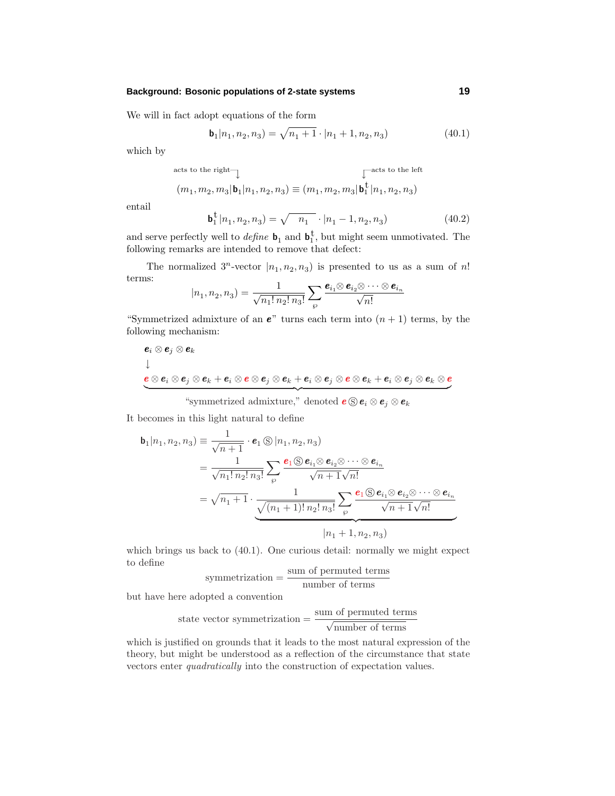We will in fact adopt equations of the form

$$
\mathbf{b}_1 | n_1, n_2, n_3) = \sqrt{n_1 + 1} \cdot | n_1 + 1, n_2, n_3)
$$
 (40.1)

which by

acts to the right  

$$
(m_1, m_2, m_3 | \mathbf{b}_1 | n_1, n_2, n_3) \equiv (m_1, m_2, m_3 | \mathbf{b}_1^{\dagger} | n_1, n_2, n_3)
$$

entail

$$
\mathbf{b}_1^{\dagger} | n_1, n_2, n_3) = \sqrt{n_1} \cdot | n_1 - 1, n_2, n_3)
$$
 (40.2)

and serve perfectly well to  $define \mathbf{b}_1$  and  $\mathbf{b}_1^{\dagger}$ , but might seem unmotivated. The following remarks are intended to remove that defect:

The normalized  $3^n$ -vector  $|n_1, n_2, n_3|$  is presented to us as a sum of *n*! terms:

$$
|n_1, n_2, n_3) = \frac{1}{\sqrt{n_1! n_2! n_3!}} \sum_{\wp} \frac{\boldsymbol{e}_{i_1} \otimes \boldsymbol{e}_{i_2} \otimes \cdots \otimes \boldsymbol{e}_{i_n}}{\sqrt{n!}}
$$

"Symmetrized admixture of an  $e$ " turns each term into  $(n + 1)$  terms, by the following mechanism:

$$
e_i \otimes e_j \otimes e_k
$$
  
\n
$$
\downarrow
$$
  
\n
$$
e \otimes e_i \otimes e_j \otimes e_k + e_i \otimes e \otimes e_j \otimes e_k + e_i \otimes e_j \otimes e \otimes e_k + e_i \otimes e_j \otimes e_k \otimes e_k
$$

"symmetrized admixture," denoted  $e \otimes e_i \otimes e_j \otimes e_k$ 

It becomes in this light natural to define

$$
\mathbf{b}_{1}|n_{1},n_{2},n_{3}) \equiv \frac{1}{\sqrt{n+1}} \cdot \mathbf{e}_{1} \circledS |n_{1},n_{2},n_{3})
$$
\n
$$
= \frac{1}{\sqrt{n_{1}! n_{2}! n_{3}!}} \sum_{\wp} \frac{\mathbf{e}_{1} \circledS \mathbf{e}_{i_{1}} \otimes \mathbf{e}_{i_{2}} \otimes \cdots \otimes \mathbf{e}_{i_{n}}}{\sqrt{n+1} \sqrt{n!}}
$$
\n
$$
= \sqrt{n_{1}+1} \cdot \frac{1}{\sqrt{(n_{1}+1)! n_{2}! n_{3}!}} \sum_{\wp} \frac{\mathbf{e}_{1} \circledS \mathbf{e}_{i_{1}} \otimes \mathbf{e}_{i_{2}} \otimes \cdots \otimes \mathbf{e}_{i_{n}}}{\sqrt{n+1} \sqrt{n!}}
$$
\n
$$
|n_{1}+1, n_{2}, n_{3})
$$

which brings us back to (40.1). One curious detail: normally we might expect to define

$$
symmetrization = \frac{sum\ of\ permuted\ terms}{number\ of\ terms}
$$

but have here adopted a convention

state vector symmetrization = 
$$
\frac{\text{sum of permuted terms}}{\sqrt{\text{number of terms}}}
$$

which is justified on grounds that it leads to the most natural expression of the theory, but might be understood as a reflection of the circumstance that state vectors enter quadratically into the construction of expectation values.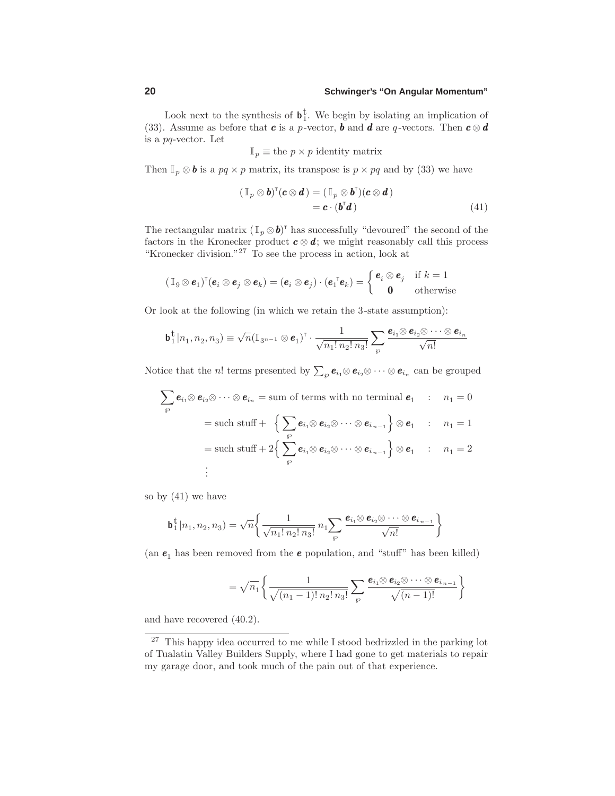Look next to the synthesis of  $\mathbf{b}_1^{\dagger}$ . We begin by isolating an implication of (33). Assume as before that *c* is a *p*-vector, *b* and *d* are *q*-vectors. Then  $c \otimes d$ is a *pq*-vector.Let

 $\mathbb{I}_p \equiv$  the  $p \times p$  identity matrix

Then  $\mathbb{I}_p \otimes \mathbf{b}$  is a  $pq \times p$  matrix, its transpose is  $p \times pq$  and by (33) we have

$$
(\mathbb{I}_p \otimes \boldsymbol{b})^{\mathsf{T}}(\boldsymbol{c} \otimes \boldsymbol{d}) = (\mathbb{I}_p \otimes \boldsymbol{b}^{\mathsf{T}})(\boldsymbol{c} \otimes \boldsymbol{d}) = \boldsymbol{c} \cdot (\boldsymbol{b}^{\mathsf{T}} \boldsymbol{d})
$$
(41)

The rectangular matrix  $(\mathbb{I}_p \otimes \mathbf{b})^{\dagger}$  has successfully "devoured" the second of the factors in the Kronecker product  $c \otimes d$ ; we might reasonably call this process "Kronecker division."<sup>27</sup> To see the process in action, look at

$$
(\mathbb{I}_{9} \otimes \mathbf{e}_{1})^{\mathsf{T}}(\mathbf{e}_{i} \otimes \mathbf{e}_{j} \otimes \mathbf{e}_{k}) = (\mathbf{e}_{i} \otimes \mathbf{e}_{j}) \cdot (\mathbf{e}_{1}^{\mathsf{T}} \mathbf{e}_{k}) = \begin{cases} \mathbf{e}_{i} \otimes \mathbf{e}_{j} & \text{if } k = 1 \\ \mathbf{0} & \text{otherwise} \end{cases}
$$

Or look at the following (in which we retain the 3-state assumption):

$$
\mathbf{b}_1^{\mathsf{t}}|n_1, n_2, n_3) \equiv \sqrt{n} (\mathbb{I}_{3^{n-1}} \otimes \mathbf{e}_1)^{\mathsf{T}} \cdot \frac{1}{\sqrt{n_1! n_2! n_3!}} \sum_{\wp} \frac{\mathbf{e}_{i_1} \otimes \mathbf{e}_{i_2} \otimes \cdots \otimes \mathbf{e}_{i_n}}{\sqrt{n!}}
$$

Notice that the *n*! terms presented by  $\sum_{\wp} e_{i_1} \otimes e_{i_2} \otimes \cdots \otimes e_{i_n}$  can be grouped

$$
\sum_{\wp} \mathbf{e}_{i_1} \otimes \mathbf{e}_{i_2} \otimes \cdots \otimes \mathbf{e}_{i_n} = \text{sum of terms with no terminal } \mathbf{e}_1 : n_1 = 0
$$
\n
$$
= \text{such stuff} + \left\{ \sum_{\wp} \mathbf{e}_{i_1} \otimes \mathbf{e}_{i_2} \otimes \cdots \otimes \mathbf{e}_{i_{n-1}} \right\} \otimes \mathbf{e}_1 : n_1 = 1
$$
\n
$$
= \text{such stuff} + 2 \left\{ \sum_{\wp} \mathbf{e}_{i_1} \otimes \mathbf{e}_{i_2} \otimes \cdots \otimes \mathbf{e}_{i_{n-1}} \right\} \otimes \mathbf{e}_1 : n_1 = 2
$$
\n
$$
\vdots
$$

so by  $(41)$  we have

$$
\mathbf{b}_1^{\mathbf{t}}|n_1, n_2, n_3) = \sqrt{n} \bigg\{ \frac{1}{\sqrt{n_1! \, n_2! \, n_3!}} \, n_1 \sum_{\wp} \frac{\mathbf{e}_{i_1} \otimes \mathbf{e}_{i_2} \otimes \cdots \otimes \mathbf{e}_{i_{n-1}}}{\sqrt{n!}} \bigg\}
$$

(an  $\pmb{e}_1$  has been removed from the  $\pmb{e}$  population, and "stuff" has been killed)

$$
= \sqrt{n_1} \left\{ \frac{1}{\sqrt{(n_1-1)! n_2! n_3!}} \sum_{\wp} \frac{\boldsymbol{e}_{i_1} \otimes \boldsymbol{e}_{i_2} \otimes \cdots \otimes \boldsymbol{e}_{i_{n-1}}}{\sqrt{(n-1)!}} \right\}
$$

and have recovered (40.2).

<sup>27</sup> This happy idea occurred to me while I stood bedrizzled in the parking lot of Tualatin Valley Builders Supply, where I had gone to get materials to repair my garage door, and took much of the pain out of that experience.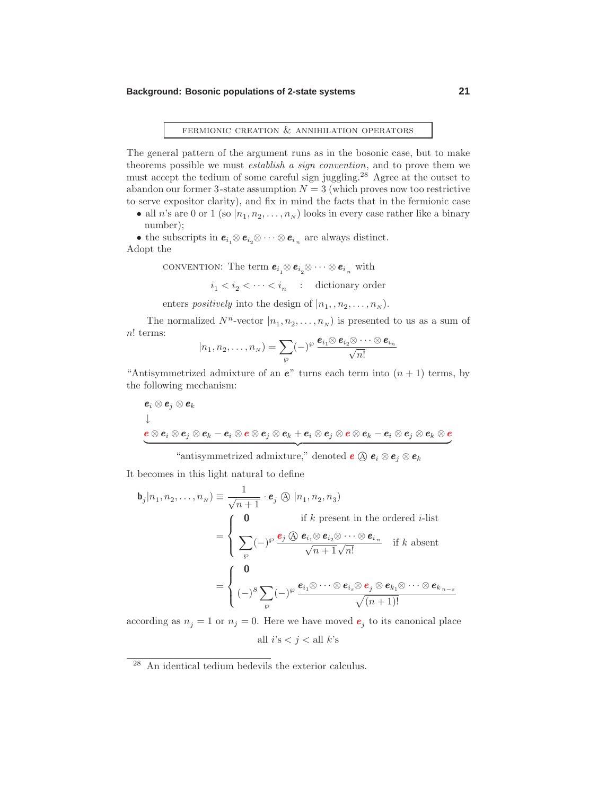# fermionic creation & annihilation operators

The general pattern of the argument runs as in the bosonic case, but to make theorems possible we must establish a sign convention, and to prove them we must accept the tedium of some careful sign juggling.<sup>28</sup> Agree at the outset to abandon our former 3-state assumption  $N = 3$  (which proves now too restrictive to serve expositor clarity), and fix in mind the facts that in the fermionic case

• all *n*'s are 0 or 1 (so  $|n_1, n_2, \ldots, n_N)$  looks in every case rather like a binary number);

• the subscripts in  $e_{i_1} \otimes e_{i_2} \otimes \cdots \otimes e_{i_n}$  are always distinct. Adopt the

convention: The term  $e_{i_1} \otimes e_{i_2} \otimes \cdots \otimes e_{i_n}$  with

 $i_1 < i_2 < \cdots < i_n$  : dictionary order

enters *positively* into the design of  $|n_1, n_2, \ldots, n_N|$ .

The normalized  $N^n$ -vector  $|n_1, n_2, \ldots, n_N|$  is presented to us as a sum of *n*! terms:

$$
|n_1, n_2, \ldots, n_N) = \sum_{\wp} (-)^{\wp} \frac{e_{i_1} \otimes e_{i_2} \otimes \cdots \otimes e_{i_n}}{\sqrt{n!}}
$$

"Antisymmetrized admixture of an  $e$ " turns each term into  $(n + 1)$  terms, by the following mechanism:

$$
\begin{aligned} &\boldsymbol{e}_i\otimes \boldsymbol{e}_j\otimes \boldsymbol{e}_k \\ \downarrow \\ &\boldsymbol{e}\otimes \boldsymbol{e}_i\otimes \boldsymbol{e}_j\otimes \boldsymbol{e}_k - \boldsymbol{e}_i\otimes \boldsymbol{e}\otimes \boldsymbol{e}_j\otimes \boldsymbol{e}_k + \boldsymbol{e}_i\otimes \boldsymbol{e}_j\otimes \boldsymbol{e}\otimes \boldsymbol{e}_k - \boldsymbol{e}_i\otimes \boldsymbol{e}_j\otimes \boldsymbol{e}_k\otimes \boldsymbol{e} \end{aligned}
$$

 "antisymmetrized admixture," denoted  $e \circledcirc e_i \otimes e_j \otimes e_k$ 

It becomes in this light natural to define

$$
\mathbf{b}_{j}|n_{1},n_{2},\ldots,n_{N}) \equiv \frac{1}{\sqrt{n+1}} \cdot \mathbf{e}_{j} \otimes |n_{1},n_{2},n_{3})
$$
  
\n
$$
= \begin{cases}\n\mathbf{0} & \text{if } k \text{ present in the ordered } i\text{-list} \\
\sum_{\wp} (-)^{\wp} \frac{\mathbf{e}_{j} \otimes \mathbf{e}_{i_{1}} \otimes \mathbf{e}_{i_{2}} \otimes \cdots \otimes \mathbf{e}_{i_{n}}}{\sqrt{n+1}\sqrt{n!}} & \text{if } k \text{ absent}\n\end{cases}
$$
  
\n
$$
= \begin{cases}\n\mathbf{0} & \text{if } k \text{ present in the ordered } i\text{-list} \\
(-)^{s} \sum_{\wp} (-)^{\wp} \frac{\mathbf{e}_{i_{1}} \otimes \cdots \otimes \mathbf{e}_{i_{s}} \otimes \mathbf{e}_{j} \otimes \mathbf{e}_{k_{1}} \otimes \cdots \otimes \mathbf{e}_{k_{n-s}}}{\sqrt{(n+1)!}}\n\end{cases}
$$

according as  $n_j = 1$  or  $n_j = 0$ . Here we have moved  $e_j$  to its canonical place

all  $i$ 's  $$i$   $all  $k$ 's$$ 

<sup>28</sup> An identical tedium bedevils the exterior calculus.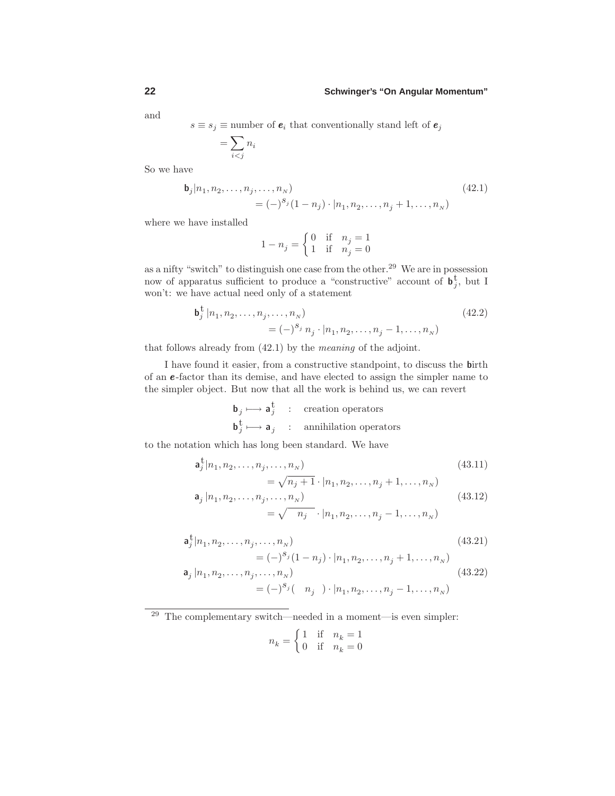and

*s* ≡ *s*<sub>*j*</sub> ≡ number of  $e_i$  that conventionally stand left of  $e_j$ 

$$
= \sum_{i
$$

So we have

$$
\mathbf{b}_{j}|n_{1}, n_{2}, \dots, n_{j}, \dots, n_{N})
$$
\n
$$
= (-)^{s_{j}} (1 - n_{j}) \cdot |n_{1}, n_{2}, \dots, n_{j} + 1, \dots, n_{N})
$$
\n(42.1)

where we have installed

$$
1 - n_j = \begin{cases} 0 & \text{if } n_j = 1 \\ 1 & \text{if } n_j = 0 \end{cases}
$$

as a nifty "switch" to distinguish one case from the other.<sup>29</sup> We are in possession now of apparatus sufficient to produce a "constructive" account of  $\mathbf{b}_{j}^{\dagger}$ , but I won't: we have actual need only of a statement

$$
\mathbf{b}_{j}^{\dagger} | n_{1}, n_{2}, \dots, n_{j}, \dots, n_{N})
$$
\n
$$
= (-)^{S_{j}} n_{j} \cdot | n_{1}, n_{2}, \dots, n_{j} - 1, \dots, n_{N})
$$
\n(42.2)

that follows already from (42.1) by the meaning of the adjoint.

I have found it easier, from a constructive standpoint, to discuss the **b**irth of an *e* -factor than its demise, and have elected to assign the simpler name to the simpler object. But now that all the work is behind us, we can revert

$$
\begin{array}{ccc}\n\mathbf{b}_j \longmapsto \mathbf{a}_j^{\mathsf{t}} & : & \text{creation operators} \\
\mathbf{b}_j^{\mathsf{t}} \longmapsto \mathbf{a}_j & : & \text{annihilation operators}\n\end{array}
$$

to the notation which has long been standard.We have

$$
\mathbf{a}_{j}^{\mathbf{t}}|n_{1}, n_{2}, \dots, n_{j}, \dots, n_{N})
$$
\n
$$
= \sqrt{n_{j} + 1} \cdot |n_{1}, n_{2}, \dots, n_{j} + 1, \dots, n_{N})
$$
\n
$$
\mathbf{a}_{j} |n_{1}, n_{2}, \dots, n_{j}, \dots, n_{N})
$$
\n(43.12)

$$
= \sqrt{n_j} \cdot |n_1, n_2, \dots, n_j - 1, \dots, n_N)
$$
  

$$
\mathbf{a}_j^{\dagger} |n_1, n_2, \dots, n_j, \dots, n_N)
$$
 (43.21)

$$
= (-)^{s_j} (1 - n_j) \cdot |n_1, n_2, \dots, n_j + 1, \dots, n_N)
$$
  
\n
$$
\mathbf{a}_j |n_1, n_2, \dots, n_j, \dots, n_N
$$
  
\n
$$
= (-)^{s_j} (n_j) \cdot |n_1, n_2, \dots, n_j - 1, \dots, n_N)
$$
  
\n(43.22)

 $29$  The complementary switch—needed in a moment—is even simpler:

$$
n_k = \begin{cases} 1 & \text{if} \quad n_k = 1 \\ 0 & \text{if} \quad n_k = 0 \end{cases}
$$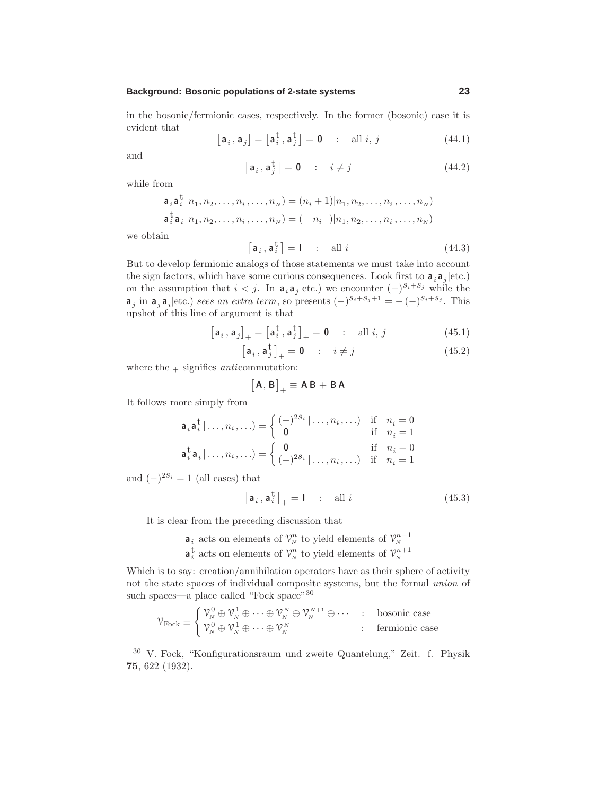in the bosonic/fermionic cases, respectively.In the former (bosonic) case it is evident that

$$
\left[\mathbf{a}_i,\mathbf{a}_j\right] = \left[\mathbf{a}_i^{\mathrm{t}},\mathbf{a}_j^{\mathrm{t}}\right] = \mathbf{0} \quad : \quad \text{all } i, j \tag{44.1}
$$

and

$$
\left[\mathbf{a}_i, \mathbf{a}_j^{\dagger}\right] = \mathbf{0} \qquad : \quad i \neq j \tag{44.2}
$$

while from

$$
\mathbf{a}_i \mathbf{a}_i^{\dagger} | n_1, n_2, \dots, n_i, \dots, n_N) = (n_i + 1) | n_1, n_2, \dots, n_i, \dots, n_N)
$$
  

$$
\mathbf{a}_i^{\dagger} \mathbf{a}_i | n_1, n_2, \dots, n_i, \dots, n_N) = (-n_i - ) | n_1, n_2, \dots, n_i, \dots, n_N)
$$

we obtain

$$
\left[\mathbf{a}_{i}, \mathbf{a}_{i}^{\mathrm{t}}\right] = \mathbf{I} \quad : \quad \text{all } i \tag{44.3}
$$

But to develop fermionic analogs of those statements we must take into account the sign factors, which have some curious consequences. Look first to  $\mathbf{a}_i \mathbf{a}_j |$  etc.) on the assumption that  $i < j$ . In  $\mathbf{a}_i \mathbf{a}_j |$  etc.) we encounter  $(-)^{s_i + s_j}$  while the **a**<sub>*j*</sub> in **a**<sub>*j*</sub> **a**<sub>*i*</sub>|etc.) sees an extra term, so presents  $(-)^{s_i+s_j+1} = -(-)^{s_i+s_j}$ . This upshot of this line of argument is that

$$
\begin{bmatrix} \mathbf{a}_i \,, \mathbf{a}_j \end{bmatrix}_{+} = \begin{bmatrix} \mathbf{a}_i^{\mathrm{t}} \,, \mathbf{a}_j^{\mathrm{t}} \end{bmatrix}_{+} = \mathbf{0} \qquad : \quad \text{all } i, j \tag{45.1}
$$

$$
\left[\mathbf{a}_{i}, \mathbf{a}_{j}^{\mathbf{t}}\right]_{+} = \mathbf{0} \qquad \therefore \quad i \neq j \tag{45.2}
$$

where the  $+$  signifies *anti*commutation:

$$
\big[\mathbf{A},\mathbf{B}\big]_+\equiv \mathbf{A}\,\mathbf{B}+\mathbf{B}\,\mathbf{A}
$$

It follows more simply from

$$
\mathbf{a}_i \mathbf{a}_i^{\mathsf{t}} | \dots, n_i, \dots) = \begin{cases} (-)^{2s_i} | \dots, n_i, \dots) & \text{if } n_i = 0 \\ \mathbf{0} & \text{if } n_i = 1 \end{cases}
$$

$$
\mathbf{a}_i^{\mathsf{t}} \mathbf{a}_i | \dots, n_i, \dots) = \begin{cases} \mathbf{0} & \text{if } n_i = 0 \\ (-)^{2s_i} | \dots, n_i, \dots) & \text{if } n_i = 1 \end{cases}
$$

and  $(-)^{2s_i} = 1$  (all cases) that

$$
\left[\mathbf{a}_{i}, \mathbf{a}_{i}^{\mathrm{t}}\right]_{+} = \mathbf{I} \quad : \quad \text{all } i \tag{45.3}
$$

It is clear from the preceding discussion that

- $\mathbf{a}_i$  acts on elements of  $\mathcal{V}_N^n$  to yield elements of  $\mathcal{V}_N^{n-1}$ <br>  $\mathbf{a}_i^{\dagger}$  acts on elements of  $\mathcal{V}_N^n$  to yield elements of  $\mathcal{V}_N^{n+1}$
- 

Which is to say: creation/annihilation operators have as their sphere of activity not the state spaces of individual composite systems, but the formal union of such spaces—a place called "Fock space"<sup>30</sup>

$$
\mathcal{V}_{\text{Fock}} \equiv \begin{cases} \mathcal{V}_{N}^{0} \oplus \mathcal{V}_{N}^{1} \oplus \cdots \oplus \mathcal{V}_{N}^{N} \oplus \mathcal{V}_{N}^{N+1} \oplus \cdots & \colon & \text{bosonic case} \\ \mathcal{V}_{N}^{0} \oplus \mathcal{V}_{N}^{1} \oplus \cdots \oplus \mathcal{V}_{N}^{N} & \colon & \text{fermionic case} \end{cases}
$$

<sup>30</sup> V.Fock, "Konfigurationsraum und zweite Quantelung," Zeit. f. Physik **75**, 622 (1932).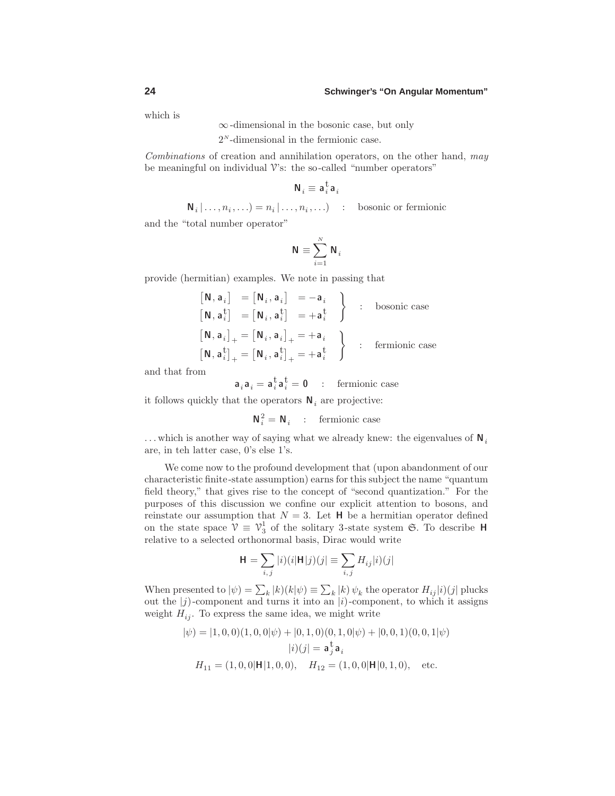which is

∞-dimensional in the bosonic case, but only

2*<sup>N</sup>* -dimensional in the fermionic case.

Combinations of creation and annihilation operators, on the other hand, may be meaningful on individual  $\mathcal V$ 's: the so-called "number operators"

$$
\mathbf{N}_i \equiv \mathbf{a}_i^{\mathrm t} \mathbf{a}_i
$$

 $N_i | \ldots, n_i, \ldots$  =  $n_i | \ldots, n_i, \ldots$  : bosonic or fermionic

and the "total number operator"

$$
\mathbf{N}\equiv\sum_{i=1}^{N}\mathbf{N}_{i}
$$

provide (hermitian) examples.We note in passing that

$$
\begin{aligned}\n\begin{bmatrix}\n\mathbf{N}, \mathbf{a}_i\n\end{bmatrix} &= \begin{bmatrix}\n\mathbf{N}_i, \mathbf{a}_i\n\end{bmatrix} = -\mathbf{a}_i \\
\begin{bmatrix}\n\mathbf{N}, \mathbf{a}_i^{\dagger}\n\end{bmatrix} &= \begin{bmatrix}\n\mathbf{N}_i, \mathbf{a}_i^{\dagger}\n\end{bmatrix} = +\mathbf{a}_i^{\dagger} \\
\begin{bmatrix}\n\mathbf{N}, \mathbf{a}_i\n\end{bmatrix}_+ &= \begin{bmatrix}\n\mathbf{N}_i, \mathbf{a}_i\n\end{bmatrix}_+ = +\mathbf{a}_i \\
\begin{bmatrix}\n\mathbf{N}, \mathbf{a}_i^{\dagger}\n\end{bmatrix}_+ &= +\mathbf{a}_i^{\dagger}\n\end{aligned}\n\quad \text{fermionic case}
$$

and that from

$$
\mathbf{a}_i \mathbf{a}_i = \mathbf{a}_i^{\mathrm{t}} \mathbf{a}_i^{\mathrm{t}} = \mathbf{0} \quad : \quad \text{fermionic case}
$$

it follows quickly that the operators  $\mathbf{N}_i$  are projective:

$$
\mathbf{N}_i^2 = \mathbf{N}_i \quad : \quad \text{fermionic case}
$$

*...* which is another way of saying what we already knew: the eigenvalues of **N***<sup>i</sup>* are, in teh latter case, 0's else 1's.

We come now to the profound development that (upon abandonment of our characteristic finite-state assumption) earns for this subject the name "quantum field theory," that gives rise to the concept of "second quantization." For the purposes of this discussion we confine our explicit attention to bosons, and reinstate our assumption that  $N = 3$ . Let **H** be a hermitian operator defined on the state space  $V \equiv V_3^1$  of the solitary 3-state system G. To describe **H** relative to a selected orthonormal basis, Dirac would write

$$
\mathbf{H} = \sum_{i,j} |i)(i|\mathbf{H}|j)(j| \equiv \sum_{i,j} H_{ij}|i)(j|
$$

When presented to  $|\psi\rangle = \sum_{k} |k\rangle (k|\psi) \equiv \sum_{k} |k\rangle \psi_{k}$  the operator  $H_{ij}|i\rangle (j|$  plucks out the  $|j)$ -component and turns it into an  $|i)$ -component, to which it assigns weight  $H_{ij}$ . To express the same idea, we might write

$$
|\psi\rangle = |1, 0, 0)(1, 0, 0|\psi\rangle + |0, 1, 0)(0, 1, 0|\psi\rangle + |0, 0, 1)(0, 0, 1|\psi\rangle
$$

$$
|i\rangle (j| = \mathbf{a}_j^{\mathbf{t}} \mathbf{a}_i
$$

$$
H_{11} = (1, 0, 0|\mathbf{H}|1, 0, 0), \quad H_{12} = (1, 0, 0|\mathbf{H}|0, 1, 0), \quad \text{etc.}
$$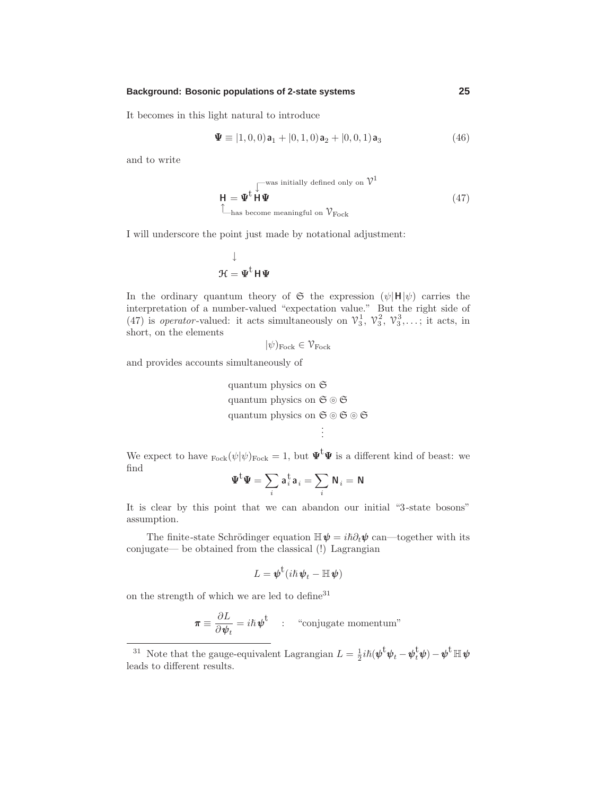It becomes in this light natural to introduce

$$
\mathbf{\Psi} \equiv [1, 0, 0)\mathbf{a}_1 + [0, 1, 0)\mathbf{a}_2 + [0, 0, 1)\mathbf{a}_3 \tag{46}
$$

and to write

$$
\mathbf{H} = \mathbf{\Psi}^{\mathsf{t}} \overset{\text{[—was initially defined only on } \mathcal{V}^1}{\mathsf{H} \mathbf{\Psi}} \tag{47}
$$
\n
$$
\overset{\text{[--]}}{\mathsf{L}}_{\text{has become meaningful on } \mathcal{V}_{\text{Fock}}} \tag{47}
$$

I will underscore the point just made by notational adjustment:

$$
\downarrow
$$

$$
\mathcal{H} = \Psi^t H \Psi
$$

In the ordinary quantum theory of  $\mathfrak{S}$  the expression  $(\psi | \mathbf{H} | \psi)$  carries the interpretation of a number-valued "expectation value." But the right side of (47) is *operator*-valued: it acts simultaneously on  $\mathcal{V}_3^1$ ,  $\mathcal{V}_3^2$ ,  $\mathcal{V}_3^3$ ,...; it acts, in short, on the elements

$$
|\psi\rangle_{\text{Fock}} \in \mathcal{V}_{\text{Fock}}
$$

and provides accounts simultaneously of

quantum physics on S quantum physics on  $\mathfrak{S} \circledcirc \mathfrak{S}$ quantum physics on  $\mathfrak{S} \circledcirc \mathfrak{S} \circledcirc \mathfrak{S}$ . . .

We expect to have  $F_{\text{ock}}(\psi|\psi)_{\text{Fock}} = 1$ , but  $\Psi^{\dagger}\Psi$  is a different kind of beast: we find

$$
\boldsymbol{\Psi}^\text{t} \boldsymbol{\Psi} = \sum_i \boldsymbol{\mathsf{a}}^\text{t}_i \boldsymbol{\mathsf{a}}_i = \sum_i \boldsymbol{\mathsf{N}}_i = \boldsymbol{\mathsf{N}}
$$

It is clear by this point that we can abandon our initial "3-state bosons" assumption.

The finite-state Schrödinger equation  $\mathbb{H}\psi = i\hbar \partial_t \psi$  can—together with its conjugate— be obtained from the classical (!) Lagrangian

$$
L = \boldsymbol{\psi}^{\mathrm{t}}(i\hslash \boldsymbol{\psi}_t - \mathbb{H} \boldsymbol{\psi})
$$

on the strength of which we are led to define<sup>31</sup>

$$
\boldsymbol{\pi} \equiv \frac{\partial L}{\partial \boldsymbol{\psi}_t} = i\hbar \boldsymbol{\psi}^{\mathrm{t}} \quad : \quad \text{``conjugate momentum''}
$$

<sup>&</sup>lt;sup>31</sup> Note that the gauge-equivalent Lagrangian  $L = \frac{1}{2}i\hbar(\psi^{\dagger}\psi_t - \psi_t^{\dagger}\psi) - \psi^{\dagger}\mathbb{H}\psi$ leads to different results.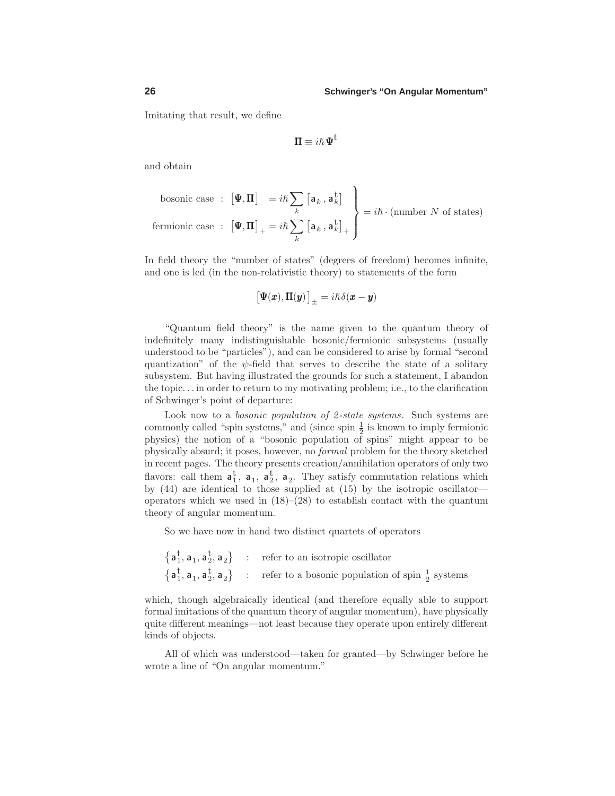Imitating that result, we define

$$
\Pi \equiv i\hbar \, \Psi^{\textrm{t}}
$$

and obtain

bosonic case :  $[\Psi, \Pi] = i\hbar \sum$ *k*  $\left[\mathbf{a}_k\,,\mathbf{a}_k^\text{t}\right]$ fermionic case  $\,$  :  $\left[ \Psi , \Pi \right]_{+} = i \hbar \sum$ *k*  $\left[\mathbf{a}_k\,,\,\mathbf{a}_k^\text{t}\right]_+$  $\mathcal{L}$  $\overline{\mathcal{L}}$  $\int$  $= i\hbar \cdot$  (number *N* of states)

In field theory the "number of states" (degrees of freedom) becomes infinite, and one is led (in the non-relativistic theory) to statements of the form

$$
\big[\Psi(\pmb{x}),\pmb{\Pi}(\pmb{y})\big]_{\pm}=i\hbar\delta(\pmb{x}-\pmb{y})
$$

"Quantum field theory" is the name given to the quantum theory of indefinitely many indistinguishable bosonic/fermionic subsystems (usually understood to be "particles"), and can be considered to arise by formal "second quantization" of the  $\psi$ -field that serves to describe the state of a solitary subsystem. But having illustrated the grounds for such a statement, I abandon the topic*...* in order to return to my motivating problem; i.e., to the clarification of Schwinger's point of departure:

Look now to a *bosonic population of 2-state systems*. Such systems are commonly called "spin systems," and (since spin  $\frac{1}{2}$  is known to imply fermionic physics) the notion of a "bosonic population of spins" might appear to be physically absurd; it poses, however, no formal problem for the theory sketched in recent pages.The theory presents creation/annihilation operators of only two flavors: call them  $\mathbf{a}_1^t$ ,  $\mathbf{a}_1$ ,  $\mathbf{a}_2^t$ ,  $\mathbf{a}_2$ . They satisfy commutation relations which by (44) are identical to those supplied at (15) by the isotropic oscillator operators which we used in  $(18)$ – $(28)$  to establish contact with the quantum theory of angular momentum.

So we have now in hand two distinct quartets of operators

$$
\begin{array}{c}\n\left\{ \mathbf{a}_{1}^{\mathbf{t}},\mathbf{a}_{1},\mathbf{a}_{2}^{\mathbf{t}},\mathbf{a}_{2}\right\} & : & \text{refer to an isotropic oscillator} \\
\left\{ \mathbf{a}_{1}^{\mathbf{t}},\mathbf{a}_{1},\mathbf{a}_{2}^{\mathbf{t}},\mathbf{a}_{2}\right\} & : & \text{refer to a bosonic population of spin }\frac{1}{2}\text{ systems}\n\end{array}
$$

which, though algebraically identical (and therefore equally able to support formal imitations of the quantum theory of angular momentum), have physically quite different meanings—not least because they operate upon entirely different kinds of objects.

All of which was understood—taken for granted—by Schwinger before he wrote a line of "On angular momentum."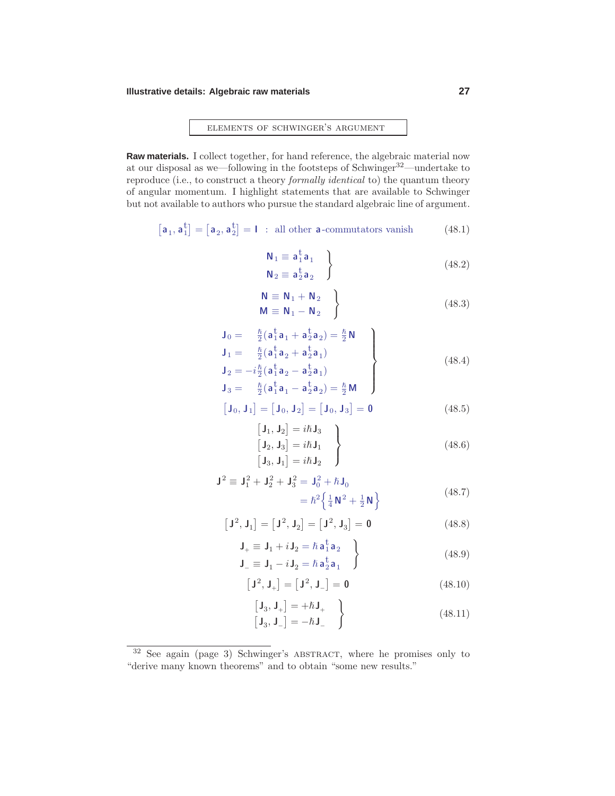### **Illustrative details: Algebraic raw materials 27**

elements of schwinger's argument

**Raw materials.** I collect together, for hand reference, the algebraic material now at our disposal as we—following in the footsteps of Schwinger32—undertake to reproduce (i.e., to construct a theory formally identical to) the quantum theory of angular momentum.I highlight statements that are available to Schwinger but not available to authors who pursue the standard algebraic line of argument.

$$
\left[\mathbf{a}_1, \mathbf{a}_1^t\right] = \left[\mathbf{a}_2, \mathbf{a}_2^t\right] = \mathbf{I} \text{ : all other } \mathbf{a}\text{-commutators vanish} \tag{48.1}
$$

$$
\begin{aligned}\n\mathbf{N}_1 &\equiv \mathbf{a}_1^{\mathbf{t}} \mathbf{a}_1 \\
\mathbf{N}_2 &\equiv \mathbf{a}_2^{\mathbf{t}} \mathbf{a}_2\n\end{aligned} \tag{48.2}
$$

$$
\begin{aligned}\n\mathsf{N} &\equiv \mathsf{N}_1 + \mathsf{N}_2 \\
\mathsf{M} &\equiv \mathsf{N}_1 - \mathsf{N}_2\n\end{aligned}\n\tag{48.3}
$$

$$
J_0 = \frac{\hbar}{2} (a_1^{\dagger} a_1 + a_2^{\dagger} a_2) = \frac{\hbar}{2} N
$$
  
\n
$$
J_1 = \frac{\hbar}{2} (a_1^{\dagger} a_2 + a_2^{\dagger} a_1)
$$
  
\n
$$
J_2 = -i \frac{\hbar}{2} (a_1^{\dagger} a_2 - a_2^{\dagger} a_1)
$$
  
\n
$$
J_3 = \frac{\hbar}{2} (a_1^{\dagger} a_1 - a_2^{\dagger} a_2) = \frac{\hbar}{2} M
$$
 (48.4)

$$
\begin{bmatrix} \mathbf{J}_0, \mathbf{J}_1 \end{bmatrix} = \begin{bmatrix} \mathbf{J}_0, \mathbf{J}_2 \end{bmatrix} = \begin{bmatrix} \mathbf{J}_0, \mathbf{J}_3 \end{bmatrix} = \mathbf{0}
$$
 (48.5)

$$
\begin{bmatrix}\n\mathbf{J}_1, \mathbf{J}_2\n\end{bmatrix} = i\hbar \mathbf{J}_3 \\
\begin{bmatrix}\n\mathbf{J}_2, \mathbf{J}_3\n\end{bmatrix} = i\hbar \mathbf{J}_1 \\
\begin{bmatrix}\n\mathbf{J}_3, \mathbf{J}_1\n\end{bmatrix} = i\hbar \mathbf{J}_2\n\end{bmatrix}
$$
\n(48.6)

$$
\mathbf{J}^2 \equiv \mathbf{J}_1^2 + \mathbf{J}_2^2 + \mathbf{J}_3^2 = \mathbf{J}_0^2 + \hbar \mathbf{J}_0
$$
  
=  $\hbar^2 \left\{ \frac{1}{4} \mathbf{N}^2 + \frac{1}{2} \mathbf{N} \right\}$  (48.7)

$$
\left[\mathbf{J}^2,\mathbf{J}_1\right]=\left[\mathbf{J}^2,\mathbf{J}_2\right]=\left[\mathbf{J}^2,\mathbf{J}_3\right]=\mathbf{0}
$$
 (48.8)

$$
\mathbf{J}_{+} \equiv \mathbf{J}_{1} + i \mathbf{J}_{2} = \hbar \mathbf{a}_{1}^{\dagger} \mathbf{a}_{2} \n\mathbf{J}_{-} \equiv \mathbf{J}_{1} - i \mathbf{J}_{2} = \hbar \mathbf{a}_{2}^{\dagger} \mathbf{a}_{1}
$$
\n(48.9)

$$
\left[\mathbf{J}^2, \mathbf{J}_+\right] = \left[\mathbf{J}^2, \mathbf{J}_-\right] = \mathbf{0} \tag{48.10}
$$

$$
\begin{bmatrix} \mathbf{J}_3, \mathbf{J}_+ \end{bmatrix} = +\hbar \mathbf{J}_+ \qquad \qquad (48.11)
$$

<sup>&</sup>lt;sup>32</sup> See again (page 3) Schwinger's ABSTRACT, where he promises only to "derive many known theorems" and to obtain "some new results."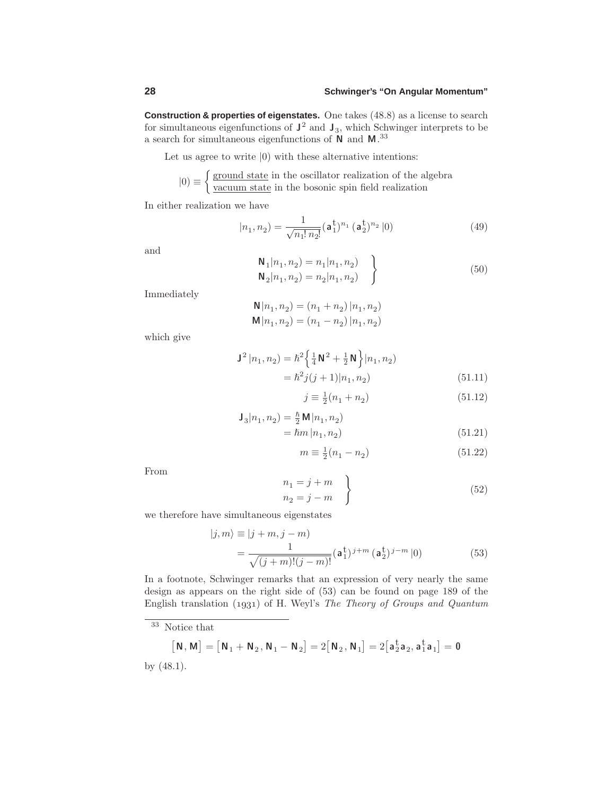**Construction & properties of eigenstates.** One takes (48.8) as a license to search for simultaneous eigenfunctions of  $J^2$  and  $J_3$ , which Schwinger interprets to be a search for simultaneous eigenfunctions of **N** and **M**. 33

Let us agree to write  $|0\rangle$  with these alternative intentions:

$$
|0\rangle \equiv \begin{cases} \frac{\text{ground state}}{\text{vacuum state}} & \text{in the oscillator realization of the algebra} \\ \frac{\text{vacuum state}}{\text{rate in the bosonic spin field realization}} \end{cases}
$$

In either realization we have

$$
|n_1, n_2\rangle = \frac{1}{\sqrt{n_1! \, n_2!}} (\mathbf{a}_1^{\mathbf{t}})^{n_1} (\mathbf{a}_2^{\mathbf{t}})^{n_2} |0\rangle \tag{49}
$$

and

$$
\begin{aligned}\n\mathbf{N}_1 | n_1, n_2 &= n_1 | n_1, n_2 \\
\mathbf{N}_2 | n_1, n_2 &= n_2 | n_1, n_2\n\end{aligned} \qquad (50)
$$

Immediately

$$
\mathbf{N}|n_1, n_2) = (n_1 + n_2) |n_1, n_2)
$$
  

$$
\mathbf{M}|n_1, n_2) = (n_1 - n_2) |n_1, n_2)
$$

which give

$$
\mathbf{J}^{2} |n_{1}, n_{2}\rangle = \hbar^{2} \left\{ \frac{1}{4} \mathbf{N}^{2} + \frac{1}{2} \mathbf{N} \right\} |n_{1}, n_{2}\rangle
$$

$$
= \hbar^{2} j(j+1) |n_{1}, n_{2}\rangle
$$
(51.11)

$$
j \equiv \frac{1}{2}(n_1 + n_2) \tag{51.12}
$$

$$
\begin{aligned} \mathbf{J}_3 |n_1, n_2| &= \frac{\hbar}{2} \mathbf{M} |n_1, n_2| \\ &= \hbar m |n_1, n_2 \end{aligned} \tag{51.21}
$$

$$
m \equiv \frac{1}{2}(n_1 - n_2) \tag{51.22}
$$

From

$$
n_1 = j + m \n n_2 = j - m
$$
\n(52)

we therefore have simultaneous eigenstates

$$
|j,m\rangle \equiv |j+m,j-m\rangle
$$
  
= 
$$
\frac{1}{\sqrt{(j+m)!(j-m)!}} (\mathbf{a}_1^{\dagger})^{j+m} (\mathbf{a}_2^{\dagger})^{j-m} |0\rangle
$$
 (53)

In a footnote, Schwinger remarks that an expression of very nearly the same design as appears on the right side of (53) can be found on page 189 of the English translation  $(1931)$  of H. Weyl's The Theory of Groups and Quantum

$$
\begin{bmatrix} \mathbf{N}, \mathbf{M} \end{bmatrix} = \begin{bmatrix} \mathbf{N}_1 + \mathbf{N}_2, \mathbf{N}_1 - \mathbf{N}_2 \end{bmatrix} = 2 \begin{bmatrix} \mathbf{N}_2, \mathbf{N}_1 \end{bmatrix} = 2 \begin{bmatrix} \mathbf{a}_2^{\mathrm{t}} \mathbf{a}_2, \mathbf{a}_1^{\mathrm{t}} \mathbf{a}_1 \end{bmatrix} = \mathbf{0}
$$
 by (48.1).

<sup>33</sup> Notice that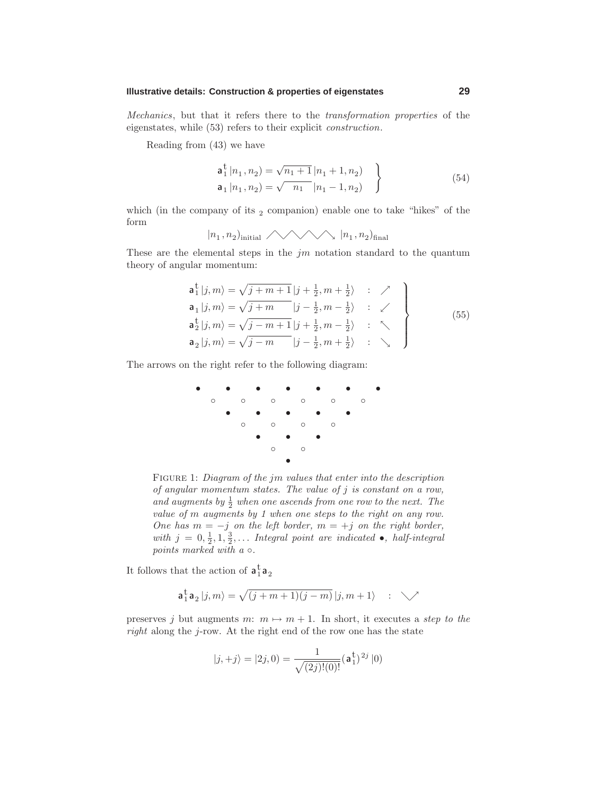## **Illustrative details: Construction & properties of eigenstates 29**

Mechanics, but that it refers there to the transformation properties of the eigenstates, while (53) refers to their explicit construction.

Reading from (43) we have

$$
\mathbf{a}_{1}^{\dagger} |n_{1}, n_{2}\rangle = \sqrt{n_{1} + 1} |n_{1} + 1, n_{2}\rangle
$$
  
\n
$$
\mathbf{a}_{1} |n_{1}, n_{2}\rangle = \sqrt{n_{1} |n_{1} - 1, n_{2}\rangle}
$$
 (54)

which (in the company of its  $_2$  companion) enable one to take "hikes" of the form

 $|n_1, n_2\rangle$ <sub>initial</sub>  $\bigwedge \bigwedge |n_1, n_2\rangle$ <sub>final</sub>

These are the elemental steps in the *jm* notation standard to the quantum theory of angular momentum:

$$
\mathbf{a}_{1}^{\dagger}|j,m\rangle = \sqrt{j+m+1}|j+\frac{1}{2},m+\frac{1}{2}\rangle : \nearrow
$$
\n
$$
\mathbf{a}_{1}|j,m\rangle = \sqrt{j+m} |j-\frac{1}{2},m-\frac{1}{2}\rangle : \swarrow
$$
\n
$$
\mathbf{a}_{2}^{\dagger}|j,m\rangle = \sqrt{j-m+1}|j+\frac{1}{2},m-\frac{1}{2}\rangle : \nwarrow
$$
\n
$$
\mathbf{a}_{2}|j,m\rangle = \sqrt{j-m} |j-\frac{1}{2},m+\frac{1}{2}\rangle : \searrow
$$
\n(55)

The arrows on the right refer to the following diagram:



Figure 1: Diagram of the *jm* values that enter into the description of angular momentum states. The value of *j* is constant on a row, and augments by  $\frac{1}{2}$  when one ascends from one row to the next. The value of *m* augments by 1 when one steps to the right on any row. One has  $m = -j$  on the left border,  $m = +j$  on the right border, with  $j = 0, \frac{1}{2}, 1, \frac{3}{2}, \ldots$  Integral point are indicated  $\bullet$ , half-integral points marked with  $a \circ$ .

It follows that the action of  $\mathbf{a}_1^{\mathrm{t}}\mathbf{a}_2$ 

$$
\mathbf{a}_1^{\mathbf{t}} \mathbf{a}_2 |j,m\rangle = \sqrt{(j+m+1)(j-m)}\,|j,m+1\rangle \quad : \quad \diagdown\mathcal{N}
$$

preserves *j* but augments  $m: m \mapsto m + 1$ . In short, it executes a step to the right along the *j*-row.At the right end of the row one has the state

$$
|j, +j\rangle = |2j, 0\rangle = \frac{1}{\sqrt{(2j)!(0)!}} (\mathbf{a}_1^{\dagger})^{2j} |0\rangle
$$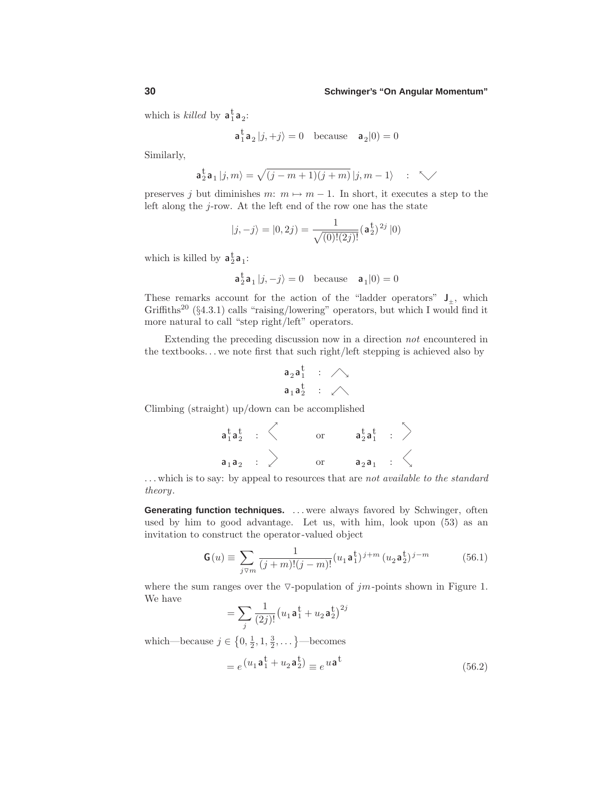which is *killed* by  $a_1^{\dagger}a_2$ :

$$
\mathbf{a}_1^{\mathsf{t}} \mathbf{a}_2 |j, +j \rangle = 0 \quad \text{because} \quad \mathbf{a}_2 |0\rangle = 0
$$

Similarly,

$$
\mathbf{a}_2^{\mathbf{t}}\mathbf{a}_1|j,m\rangle = \sqrt{(j-m+1)(j+m)}\,|j,m-1\rangle \quad : \quad \nwarrow
$$

preserves *j* but diminishes  $m: m \mapsto m-1$ . In short, it executes a step to the left along the *j*-row. At the left end of the row one has the state

$$
|j, -j\rangle = |0, 2j\rangle = \frac{1}{\sqrt{(0)!(2j)!}} (\mathbf{a}_2^{\dagger})^{2j} |0\rangle
$$

which is killed by  $\mathbf{a}_2^{\mathrm{t}} \mathbf{a}_1$ :

$$
\mathbf{a}_2^{\mathbf{t}} \mathbf{a}_1 |j, -j\rangle = 0 \quad \text{because} \quad \mathbf{a}_1 |0\rangle = 0
$$

These remarks account for the action of the "ladder operators"  $J_{+}$ , which Griffiths<sup>20</sup> (§4.3.1) calls "raising/lowering" operators, but which I would find it more natural to call "step right/left" operators.

Extending the preceding discussion now in a direction not encountered in the textbooks*...* we note first that such right/left stepping is achieved also by

$$
\begin{array}{ccc}a_2a_1^t&:&\triangle\\ a_1a_2^t&:&\triangle\end{array}
$$

Climbing (straight) up/down can be accomplished

**a**t 1 **a**t <sup>2</sup> : or **a**t 2 **a**t <sup>1</sup> : **a** <sup>1</sup> **a** <sup>2</sup> : or **a** <sup>2</sup> **a** <sup>1</sup> : 

*...* which is to say: by appeal to resources that are not available to the standard theory.

**Generating function techniques.** *...* were always favored by Schwinger, often used by him to good advantage. Let us, with him, look upon  $(53)$  as an invitation to construct the operator-valued object

$$
\mathbf{G}(u) \equiv \sum_{j \triangledown m} \frac{1}{(j+m)!(j-m)!} (u_1 \mathbf{a}_1^{\dagger})^{j+m} (u_2 \mathbf{a}_2^{\dagger})^{j-m}
$$
(56.1)

where the sum ranges over the  $\nabla$ -population of *jm*-points shown in Figure 1. We have

$$
= \sum_{j} \frac{1}{(2j)!} (u_1 \mathbf{a}_1^{\mathbf{t}} + u_2 \mathbf{a}_2^{\mathbf{t}})^{2j}
$$

which—because  $j \in \{0, \frac{1}{2}, 1, \frac{3}{2}, \dots\}$ —becomes

$$
= e^{\left(u_1 \mathbf{a}_1^{\mathbf{t}} + u_2 \mathbf{a}_2^{\mathbf{t}}\right)} \equiv e^{u \mathbf{a}^{\mathbf{t}}}
$$
\n(56.2)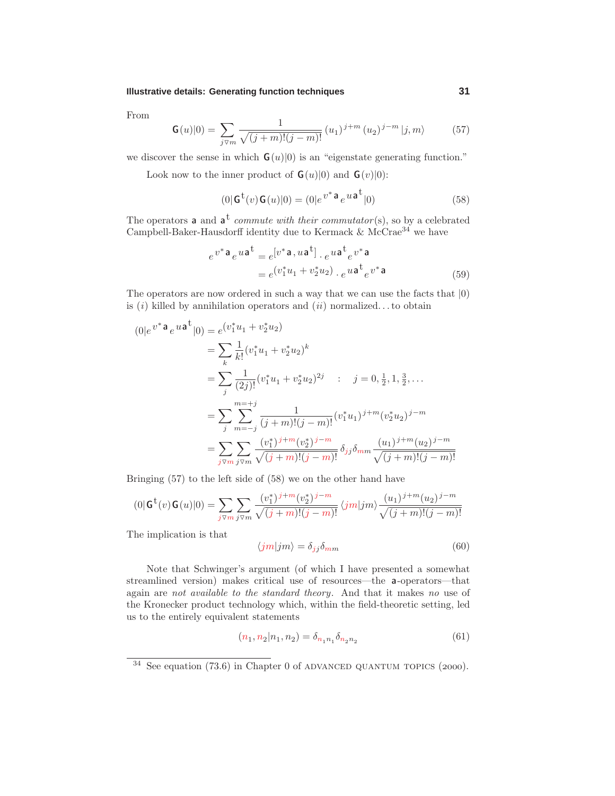### **Illustrative details: Generating function techniques 31**

From

$$
\mathbf{G}(u)|0\rangle = \sum_{j\vee m} \frac{1}{\sqrt{(j+m)!(j-m)!}} (u_1)^{j+m} (u_2)^{j-m} |j,m\rangle \tag{57}
$$

we discover the sense in which  $\mathbf{G}(u)|0\rangle$  is an "eigenstate generating function."

Look now to the inner product of  $\mathbf{G}(u)|0\rangle$  and  $\mathbf{G}(v)|0\rangle$ :

$$
(0|Gt(v)G(u)|0) = (0|ev* a eu at|0)
$$
\n(58)

The operators **a** and  $\mathbf{a}^t$  *commute with their commutator*(s), so by a celebrated Campbell-Baker-Hausdorff identity due to Kermack  $\&$  McCrae<sup>34</sup> we have

$$
e^{v^* \mathbf{a}} e^{u \mathbf{a}^{\dagger}} = e^{[v^* \mathbf{a}, u \mathbf{a}^{\dagger}]} \cdot e^{u \mathbf{a}^{\dagger}} e^{v^* \mathbf{a}}
$$
  
= 
$$
e^{(v_1^* u_1 + v_2^* u_2)} \cdot e^{u \mathbf{a}^{\dagger}} e^{v^* \mathbf{a}}
$$
(59)

The operators are now ordered in such a way that we can use the facts that |0) is  $(i)$  killed by annihilation operators and  $(ii)$  normalized...to obtain

$$
(0|e^{v^* \mathbf{a}} e^{u \mathbf{a}^{\mathbf{t}}}|0) = e^{(v_1^* u_1 + v_2^* u_2)}
$$
  
\n
$$
= \sum_{k} \frac{1}{k!} (v_1^* u_1 + v_2^* u_2)^k
$$
  
\n
$$
= \sum_{j} \frac{1}{(2j)!} (v_1^* u_1 + v_2^* u_2)^{2j} \quad : \quad j = 0, \frac{1}{2}, 1, \frac{3}{2}, ...
$$
  
\n
$$
= \sum_{j} \sum_{m=-j}^{m=-j} \frac{1}{(j+m)!(j-m)!} (v_1^* u_1)^{j+m} (v_2^* u_2)^{j-m}
$$
  
\n
$$
= \sum_{j \nmid \overline{y}_m} \sum_{j \nmid \overline{y}_m} \frac{(v_1^*)^{j+m} (v_2^*)^{j-m}}{\sqrt{(j+m)!(j-m)!}} \delta_{jj} \delta_{mm} \frac{(u_1)^{j+m} (u_2)^{j-m}}{\sqrt{(j+m)!(j-m)!}}
$$

Bringing (57) to the left side of (58) we on the other hand have

$$
(0|\mathbf{G}^{t}(v)\mathbf{G}(u)|0) = \sum_{j\vee m} \sum_{j\vee m} \frac{(v_1^*)^{j+m} (v_2^*)^{j-m}}{\sqrt{(j+m)!(j-m)!}} \langle jm|jm \rangle \frac{(u_1)^{j+m} (u_2)^{j-m}}{\sqrt{(j+m)!(j-m)!}}
$$

The implication is that

$$
\langle jm|jm\rangle = \delta_{jj}\delta_{mm} \tag{60}
$$

Note that Schwinger's argument (of which I have presented a somewhat streamlined version) makes critical use of resources—the **a**-operators—that again are not available to the standard theory. And that it makes no use of the Kronecker product technology which, within the field-theoretic setting, led us to the entirely equivalent statements

$$
(n_1, n_2 | n_1, n_2) = \delta_{n_1 n_1} \delta_{n_2 n_2} \tag{61}
$$

 $34$  See equation (73.6) in Chapter 0 of ADVANCED QUANTUM TOPICS (2000).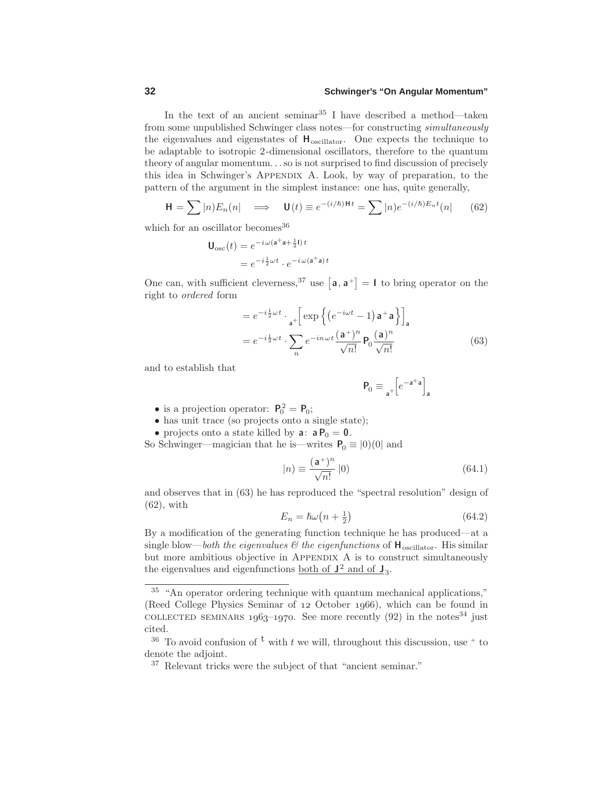In the text of an ancient seminar  $35$  I have described a method—taken from some unpublished Schwinger class notes—for constructing simultaneously the eigenvalues and eigenstates of  $H_{oscillator}$ . One expects the technique to be adaptable to isotropic 2-dimensional oscillators, therefore to the quantum theory of angular momentum*...*so is not surprised to find discussion of precisely this idea in Schwinger's Appendix A.Look, by way of preparation, to the pattern of the argument in the simplest instance: one has, quite generally,

$$
\mathbf{H} = \sum |n\rangle E_n(n| \implies \mathbf{U}(t) \equiv e^{-(i/\hbar)\mathbf{H}t} = \sum |n\rangle e^{-(i/\hbar)E_n t}(n| \qquad (62)
$$

which for an oscillator becomes  $36$ 

$$
\mathbf{U}_{\text{osc}}(t) = e^{-i\omega(\mathbf{a}^+\mathbf{a}+\frac{1}{2}\mathbf{I})t}
$$

$$
= e^{-i\frac{1}{2}\omega t} \cdot e^{-i\omega(\mathbf{a}^+\mathbf{a})t}
$$

One can, with sufficient cleverness,<sup>37</sup> use  $\begin{bmatrix} a \\ a + \end{bmatrix} = \mathbf{I}$  to bring operator on the right to ordered form

$$
= e^{-i\frac{1}{2}\omega t} \cdot \frac{1}{a^{+}} \left[ \exp\left\{ \left( e^{-i\omega t} - 1 \right) a^{+} a \right\} \right]_{a}
$$

$$
= e^{-i\frac{1}{2}\omega t} \cdot \sum_{n} e^{-in\omega t} \frac{(a^{+})^{n}}{\sqrt{n!}} \mathsf{P}_{0} \frac{(a)^{n}}{\sqrt{n!}}
$$
(63)

and to establish that

$$
\mathbf{P}_0\equiv{_{\mathbf{a}^+}}\!\!\left[e^{-\mathbf{a}^+\mathbf{a}}\right]_{\mathbf{a}}
$$

- is a projection operator:  $P_0^2 = P_0$ ;
- has unit trace (so projects onto a single state);
- projects onto a state killed by **a**:  $a P_0 = 0$ .

So Schwinger—magician that he is—writes  $P_0 \equiv |0\rangle(0|$  and

$$
|n) \equiv \frac{(\mathbf{a}^+)^n}{\sqrt{n!}} \, |0\rangle \tag{64.1}
$$

and observes that in (63) he has reproduced the "spectral resolution" design of (62), with

$$
E_n = \hbar\omega\left(n + \frac{1}{2}\right) \tag{64.2}
$$

By a modification of the generating function technique he has produced—at a single blow—both the eigenvalues  $\mathcal{B}$  the eigenfunctions of  $\mathbf{H}_{oscillator}$ . His similar but more ambitious objective in APPENDIX A is to construct simultaneously the eigenvalues and eigenfunctions <u>both of  $J^2$  and of  $J_3$ </u>.

<sup>35</sup> "An operator ordering technique with quantum mechanical applications," (Reed College Physics Seminar of  $12$  October  $1966$ ), which can be found in COLLECTED SEMINARS  $1963-1970$ . See more recently (92) in the notes<sup>34</sup> just cited.

<sup>&</sup>lt;sup>36</sup> To avoid confusion of <sup>t</sup> with *t* we will, throughout this discussion, use  $+$  to denote the adjoint.

<sup>37</sup> Relevant tricks were the subject of that "ancient seminar."